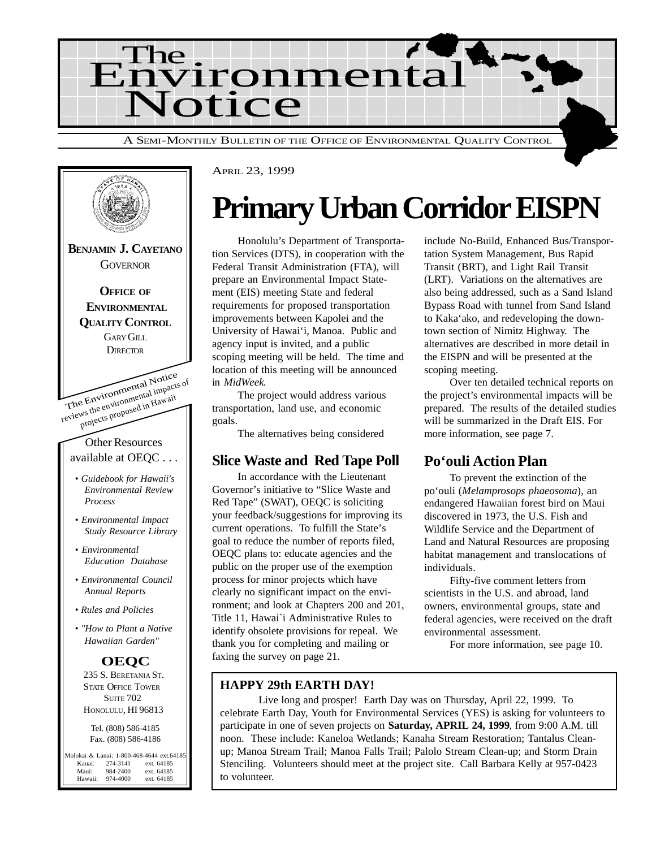



#### APRIL 23, 1999

# **Primary Urban Corridor EISPN**

Honolulu's Department of Transportation Services (DTS), in cooperation with the Federal Transit Administration (FTA), will prepare an Environmental Impact Statement (EIS) meeting State and federal requirements for proposed transportation improvements between Kapolei and the University of Hawai'i, Manoa. Public and agency input is invited, and a public scoping meeting will be held. The time and location of this meeting will be announced in *MidWeek*.

The project would address various transportation, land use, and economic goals.

The alternatives being considered

### **Slice Waste and Red Tape Poll**

In accordance with the Lieutenant Governor's initiative to "Slice Waste and Red Tape" (SWAT), OEQC is soliciting your feedback/suggestions for improving its current operations. To fulfill the State's goal to reduce the number of reports filed, OEQC plans to: educate agencies and the public on the proper use of the exemption process for minor projects which have clearly no significant impact on the environment; and look at Chapters 200 and 201, Title 11, Hawai`i Administrative Rules to identify obsolete provisions for repeal. We thank you for completing and mailing or faxing the survey on page 21.

include No-Build, Enhanced Bus/Transportation System Management, Bus Rapid Transit (BRT), and Light Rail Transit (LRT). Variations on the alternatives are also being addressed, such as a Sand Island Bypass Road with tunnel from Sand Island to Kaka'ako, and redeveloping the downtown section of Nimitz Highway. The alternatives are described in more detail in the EISPN and will be presented at the scoping meeting.

Over ten detailed technical reports on the project's environmental impacts will be prepared. The results of the detailed studies will be summarized in the Draft EIS. For more information, see page 7.

### **Po'ouli Action Plan**

To prevent the extinction of the po'ouli (*Melamprosops phaeosoma*), an endangered Hawaiian forest bird on Maui discovered in 1973, the U.S. Fish and Wildlife Service and the Department of Land and Natural Resources are proposing habitat management and translocations of individuals.

Fifty-five comment letters from scientists in the U.S. and abroad, land owners, environmental groups, state and federal agencies, were received on the draft environmental assessment.

For more information, see page 10.

### **HAPPY 29th EARTH DAY!**

Live long and prosper! Earth Day was on Thursday, April 22, 1999. To celebrate Earth Day, Youth for Environmental Services (YES) is asking for volunteers to participate in one of seven projects on **Saturday, APRIL 24, 1999**, from 9:00 A.M. till noon. These include: Kaneloa Wetlands; Kanaha Stream Restoration; Tantalus Cleanup; Manoa Stream Trail; Manoa Falls Trail; Palolo Stream Clean-up; and Storm Drain Stenciling. Volunteers should meet at the project site. Call Barbara Kelly at 957-0423 to volunteer.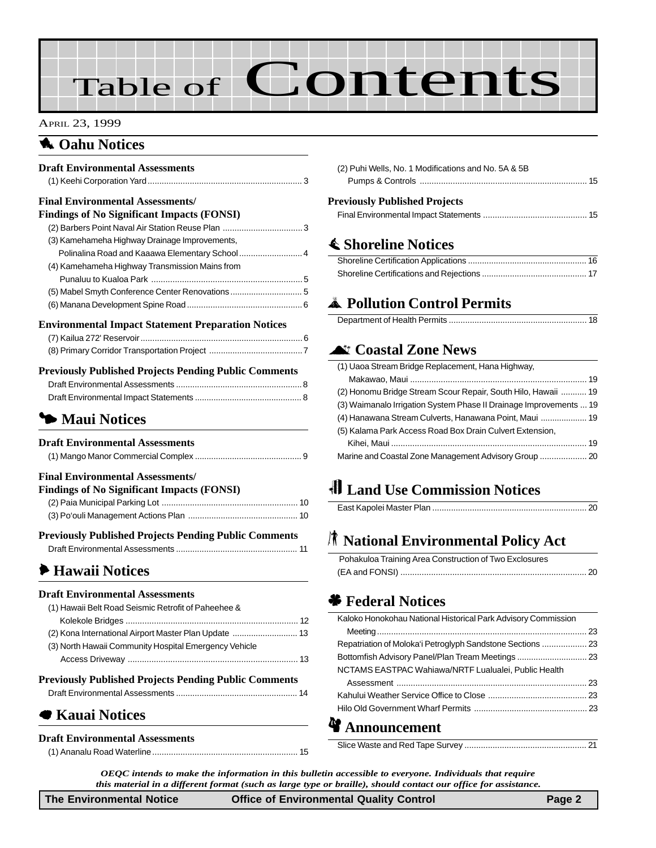# Table of Contents

#### APRIL 23, 1999

### **1** [Oahu Notices](#page-2-0)

| <b>Draft Environmental Assessments</b>                       |
|--------------------------------------------------------------|
| <b>Final Environmental Assessments/</b>                      |
| Findings of No Significant Impacts (FONSI)                   |
| (2) Barbers Point Naval Air Station Reuse Plan  3            |
| (3) Kamehameha Highway Drainage Improvements,                |
| Polinalina Road and Kaaawa Elementary School 4               |
| (4) Kamehameha Highway Transmission Mains from               |
|                                                              |
|                                                              |
|                                                              |
| <b>Environmental Impact Statement Preparation Notices</b>    |
|                                                              |
|                                                              |
| <b>Previously Published Projects Pending Public Comments</b> |
|                                                              |
|                                                              |
| • Maui Notices                                               |

| <b>Draft Environmental Assessments</b>                       |  |
|--------------------------------------------------------------|--|
|                                                              |  |
| <b>Final Environmental Assessments/</b>                      |  |
| <b>Findings of No Significant Impacts (FONSI)</b>            |  |
|                                                              |  |
|                                                              |  |
| <b>Previously Published Projects Pending Public Comments</b> |  |
|                                                              |  |

## 6 **Hawaii Notices**

### **Draft Environmental Assessments**

| <b>Draft Environmental Assessments</b>                |  |
|-------------------------------------------------------|--|
| <b>■ Kauai Notices</b>                                |  |
| Previously Published Projects Pending Public Comments |  |
|                                                       |  |
| (3) North Hawaii Community Hospital Emergency Vehicle |  |
| (2) Kona International Airport Master Plan Update  13 |  |
|                                                       |  |
| (1) Hawaii Belt Road Seismic Retrofit of Paheehee &   |  |

### **Draft Environmental Assessments**

|--|

| (2) Puhi Wells, No. 1 Modifications and No. 5A & 5B |  |
|-----------------------------------------------------|--|
|                                                     |  |
|                                                     |  |

### **Previously Published Projects**

## s **[Shoreline Notices](#page-15-0)**

# V **Pollution Control Permits**

## ^ **Coastal Zone News**

| (1) Uaoa Stream Bridge Replacement, Hana Highway,                  |  |
|--------------------------------------------------------------------|--|
|                                                                    |  |
| (2) Honomu Bridge Stream Scour Repair, South Hilo, Hawaii  19      |  |
| (3) Waimanalo Irrigation System Phase II Drainage Improvements  19 |  |
| (4) Hanawana Stream Culverts, Hanawana Point, Maui  19             |  |
| (5) Kalama Park Access Road Box Drain Culvert Extension,           |  |
|                                                                    |  |
|                                                                    |  |
|                                                                    |  |

# 0 **Land Use Commission Notices**

# **R** [National Environmental Policy Act](#page-19-0)

| Pohakuloa Training Area Construction of Two Exclosures |  |
|--------------------------------------------------------|--|
|                                                        |  |

## ' **Federal Notices**

| Kaloko Honokohau National Historical Park Advisory Commission |  |
|---------------------------------------------------------------|--|
|                                                               |  |
| Repatriation of Moloka'i Petroglyph Sandstone Sections  23    |  |
| Bottomfish Advisory Panel/Plan Tream Meetings  23             |  |
| NCTAMS EASTPAC Wahiawa/NRTF Lualualei, Public Health          |  |
|                                                               |  |
|                                                               |  |
|                                                               |  |
| $\lambda$                                                     |  |

### **c** Announcement

*OEQC intends to make the information in this bulletin accessible to everyone. Individuals that require this material in a different format (such as large type or braille), should contact our office for assistance.*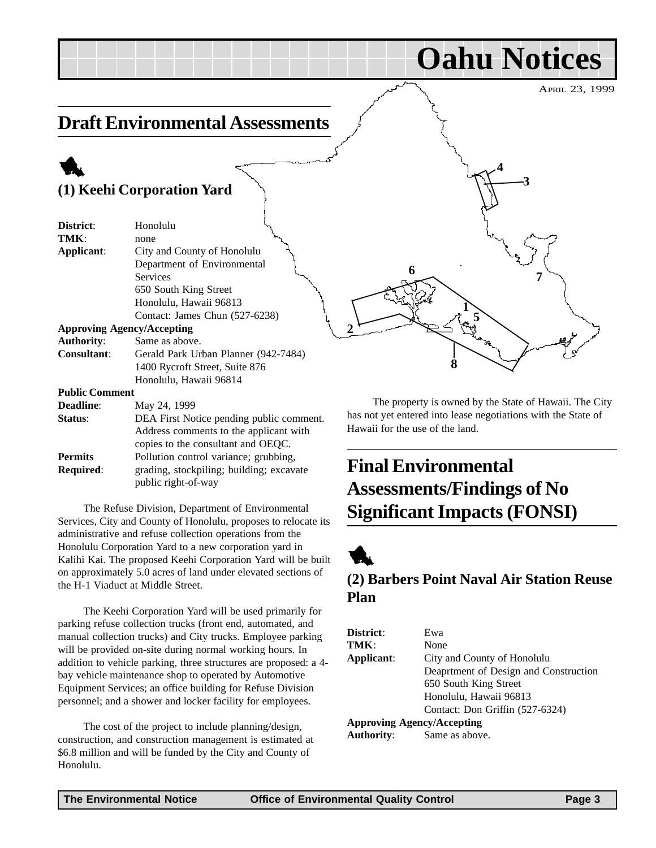APRIL 23, 1999

**Oahu Notices**

**3**

**7**

**4**

# <span id="page-2-0"></span>**Draft Environmental Assessments**

# 1 **(1) Keehi Corporation Yard**

| District:             | Honolulu                                 |
|-----------------------|------------------------------------------|
| TMK:                  | none                                     |
| Applicant:            | City and County of Honolulu              |
|                       | Department of Environmental              |
|                       | Services                                 |
|                       | 650 South King Street                    |
|                       | Honolulu, Hawaii 96813                   |
|                       | Contact: James Chun (527-6238)           |
|                       | <b>Approving Agency/Accepting</b>        |
| <b>Authority:</b>     | Same as above.                           |
| <b>Consultant:</b>    | Gerald Park Urban Planner (942-7484)     |
|                       | 1400 Rycroft Street, Suite 876           |
|                       | Honolulu, Hawaii 96814                   |
| <b>Public Comment</b> |                                          |
| <b>Deadline:</b>      | May 24, 1999                             |
| Status:               | DEA First Notice pending public comment. |

|                  | Address comments to the applicant with   |
|------------------|------------------------------------------|
|                  | copies to the consultant and OEQC.       |
| <b>Permits</b>   | Pollution control variance; grubbing,    |
| <b>Required:</b> | grading, stockpiling; building; excavate |
|                  | public right-of-way                      |

The Refuse Division, Department of Environmental Services, City and County of Honolulu, proposes to relocate its administrative and refuse collection operations from the Honolulu Corporation Yard to a new corporation yard in Kalihi Kai. The proposed Keehi Corporation Yard will be built on approximately 5.0 acres of land under elevated sections of the H-1 Viaduct at Middle Street.

The Keehi Corporation Yard will be used primarily for parking refuse collection trucks (front end, automated, and manual collection trucks) and City trucks. Employee parking will be provided on-site during normal working hours. In addition to vehicle parking, three structures are proposed: a 4 bay vehicle maintenance shop to operated by Automotive Equipment Services; an office building for Refuse Division personnel; and a shower and locker facility for employees.

The cost of the project to include planning/design, construction, and construction management is estimated at \$6.8 million and will be funded by the City and County of Honolulu.

The property is owned by the State of Hawaii. The City has not yet entered into lease negotiations with the State of Hawaii for the use of the land.

**1**

**5**

**8**

**6**

# **Final Environmental Assessments/Findings of No Significant Impacts (FONSI)**



**2**

## **(2) Barbers Point Naval Air Station Reuse Plan**

| District:                         | Ewa                                   |
|-----------------------------------|---------------------------------------|
| TMK:                              | None                                  |
| Applicant:                        | City and County of Honolulu           |
|                                   | Deaprtment of Design and Construction |
|                                   | 650 South King Street                 |
|                                   | Honolulu, Hawaii 96813                |
|                                   | Contact: Don Griffin (527-6324)       |
| <b>Approving Agency/Accepting</b> |                                       |
| <b>Authority:</b>                 | Same as above.                        |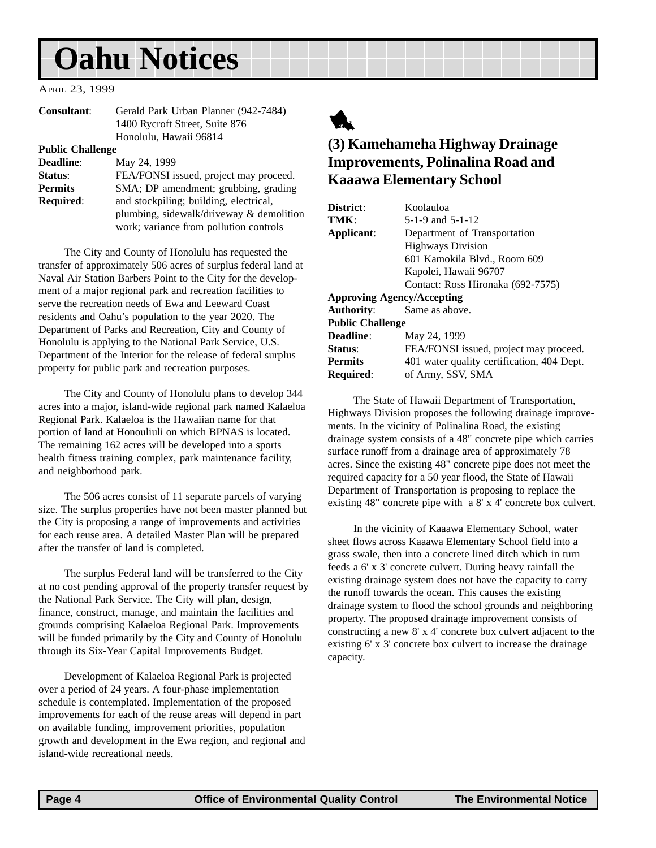<span id="page-3-0"></span>APRIL 23, 1999

| <b>Consultant:</b> | Gerald Park Urban Planner (942-7484) |
|--------------------|--------------------------------------|
|                    | 1400 Rycroft Street, Suite 876       |
|                    | Honolulu, Hawaii 96814               |
|                    |                                      |

#### **Public Challenge**

| Deadline:        | May 24, 1999                             |
|------------------|------------------------------------------|
| Status:          | FEA/FONSI issued, project may proceed.   |
| <b>Permits</b>   | SMA; DP amendment; grubbing, grading     |
| <b>Required:</b> | and stockpiling; building, electrical,   |
|                  | plumbing, sidewalk/driveway & demolition |
|                  | work; variance from pollution controls   |

The City and County of Honolulu has requested the transfer of approximately 506 acres of surplus federal land at Naval Air Station Barbers Point to the City for the development of a major regional park and recreation facilities to serve the recreation needs of Ewa and Leeward Coast residents and Oahu's population to the year 2020. The Department of Parks and Recreation, City and County of Honolulu is applying to the National Park Service, U.S. Department of the Interior for the release of federal surplus property for public park and recreation purposes.

The City and County of Honolulu plans to develop 344 acres into a major, island-wide regional park named Kalaeloa Regional Park. Kalaeloa is the Hawaiian name for that portion of land at Honouliuli on which BPNAS is located. The remaining 162 acres will be developed into a sports health fitness training complex, park maintenance facility, and neighborhood park.

The 506 acres consist of 11 separate parcels of varying size. The surplus properties have not been master planned but the City is proposing a range of improvements and activities for each reuse area. A detailed Master Plan will be prepared after the transfer of land is completed.

The surplus Federal land will be transferred to the City at no cost pending approval of the property transfer request by the National Park Service. The City will plan, design, finance, construct, manage, and maintain the facilities and grounds comprising Kalaeloa Regional Park. Improvements will be funded primarily by the City and County of Honolulu through its Six-Year Capital Improvements Budget.

Development of Kalaeloa Regional Park is projected over a period of 24 years. A four-phase implementation schedule is contemplated. Implementation of the proposed improvements for each of the reuse areas will depend in part on available funding, improvement priorities, population growth and development in the Ewa region, and regional and island-wide recreational needs.



### **(3) Kamehameha Highway Drainage Improvements, Polinalina Road and Kaaawa Elementary School**

| District:                         | Koolauloa                                  |
|-----------------------------------|--------------------------------------------|
| TMK:                              | $5-1-9$ and $5-1-12$                       |
| Applicant:                        | Department of Transportation               |
|                                   | <b>Highways Division</b>                   |
|                                   | 601 Kamokila Blvd., Room 609               |
|                                   | Kapolei, Hawaii 96707                      |
|                                   | Contact: Ross Hironaka (692-7575)          |
| <b>Approving Agency/Accepting</b> |                                            |
| Authority:                        | Same as above.                             |
| <b>Public Challenge</b>           |                                            |
| <b>Deadline:</b>                  | May 24, 1999                               |
| Status:                           | FEA/FONSI issued, project may proceed.     |
| <b>Permits</b>                    | 401 water quality certification, 404 Dept. |
| <b>Required:</b>                  | of Army, SSV, SMA                          |

The State of Hawaii Department of Transportation, Highways Division proposes the following drainage improvements. In the vicinity of Polinalina Road, the existing drainage system consists of a 48" concrete pipe which carries surface runoff from a drainage area of approximately 78 acres. Since the existing 48" concrete pipe does not meet the required capacity for a 50 year flood, the State of Hawaii Department of Transportation is proposing to replace the existing 48" concrete pipe with a 8' x 4' concrete box culvert.

In the vicinity of Kaaawa Elementary School, water sheet flows across Kaaawa Elementary School field into a grass swale, then into a concrete lined ditch which in turn feeds a 6' x 3' concrete culvert. During heavy rainfall the existing drainage system does not have the capacity to carry the runoff towards the ocean. This causes the existing drainage system to flood the school grounds and neighboring property. The proposed drainage improvement consists of constructing a new 8' x 4' concrete box culvert adjacent to the existing 6' x 3' concrete box culvert to increase the drainage capacity.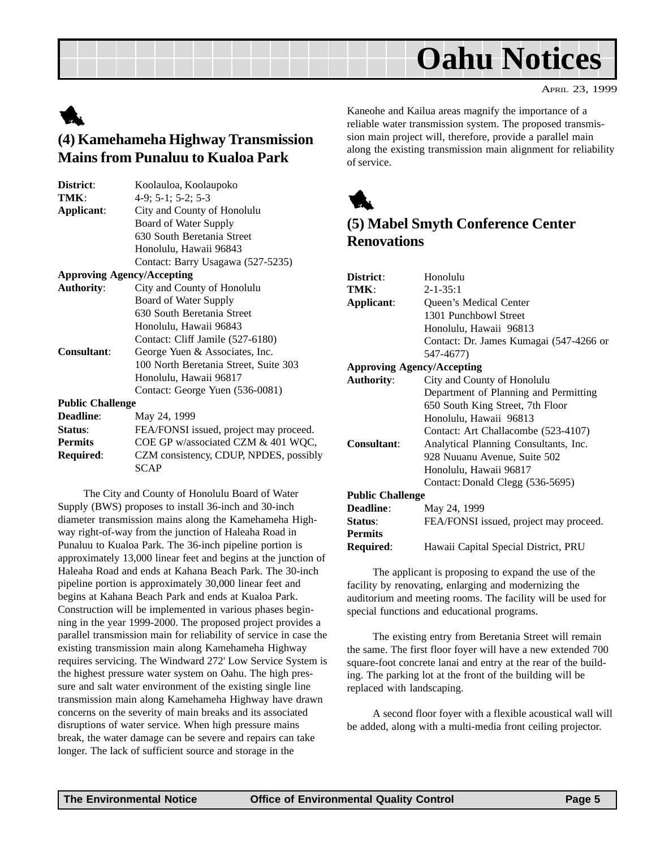<span id="page-4-0"></span>

## **(4) Kamehameha Highway Transmission Mains from Punaluu to Kualoa Park**

| District:                         | Koolauloa, Koolaupoko                  |
|-----------------------------------|----------------------------------------|
| TMK:                              | 4-9: 5-1: 5-2: 5-3                     |
| Applicant:                        | City and County of Honolulu            |
|                                   | Board of Water Supply                  |
|                                   | 630 South Beretania Street             |
|                                   | Honolulu, Hawaii 96843                 |
|                                   | Contact: Barry Usagawa (527-5235)      |
| <b>Approving Agency/Accepting</b> |                                        |
| <b>Authority:</b>                 | City and County of Honolulu            |
|                                   | Board of Water Supply                  |
|                                   | 630 South Beretania Street             |
|                                   | Honolulu, Hawaii 96843                 |
|                                   | Contact: Cliff Jamile (527-6180)       |
| <b>Consultant:</b>                | George Yuen & Associates, Inc.         |
|                                   | 100 North Beretania Street, Suite 303  |
|                                   | Honolulu, Hawaii 96817                 |
|                                   | Contact: George Yuen (536-0081)        |
| <b>Public Challenge</b>           |                                        |
| <b>Deadline:</b>                  | May 24, 1999                           |
| Status:                           | FEA/FONSI issued, project may proceed. |
| <b>Permits</b>                    | COE GP w/associated CZM & 401 WQC,     |
| Required:                         | CZM consistency, CDUP, NPDES, possibly |

SCAP

The City and County of Honolulu Board of Water Supply (BWS) proposes to install 36-inch and 30-inch diameter transmission mains along the Kamehameha Highway right-of-way from the junction of Haleaha Road in Punaluu to Kualoa Park. The 36-inch pipeline portion is approximately 13,000 linear feet and begins at the junction of Haleaha Road and ends at Kahana Beach Park. The 30-inch pipeline portion is approximately 30,000 linear feet and begins at Kahana Beach Park and ends at Kualoa Park. Construction will be implemented in various phases beginning in the year 1999-2000. The proposed project provides a parallel transmission main for reliability of service in case the existing transmission main along Kamehameha Highway requires servicing. The Windward 272' Low Service System is the highest pressure water system on Oahu. The high pressure and salt water environment of the existing single line transmission main along Kamehameha Highway have drawn concerns on the severity of main breaks and its associated disruptions of water service. When high pressure mains break, the water damage can be severe and repairs can take longer. The lack of sufficient source and storage in the

Kaneohe and Kailua areas magnify the importance of a reliable water transmission system. The proposed transmission main project will, therefore, provide a parallel main along the existing transmission main alignment for reliability of service.



## **(5) Mabel Smyth Conference Center Renovations**

| District:                         | Honolulu                                |
|-----------------------------------|-----------------------------------------|
| TMK:                              | $2 - 1 - 35:1$                          |
| Applicant:                        | <b>Queen's Medical Center</b>           |
|                                   | 1301 Punchbowl Street                   |
|                                   | Honolulu, Hawaii 96813                  |
|                                   | Contact: Dr. James Kumagai (547-4266 or |
|                                   | 547-4677)                               |
| <b>Approving Agency/Accepting</b> |                                         |
| <b>Authority:</b>                 | City and County of Honolulu             |
|                                   | Department of Planning and Permitting   |
|                                   | 650 South King Street, 7th Floor        |
|                                   | Honolulu, Hawaii 96813                  |
|                                   | Contact: Art Challacombe (523-4107)     |
| <b>Consultant:</b>                | Analytical Planning Consultants, Inc.   |
|                                   | 928 Nuuanu Avenue, Suite 502            |
|                                   | Honolulu, Hawaii 96817                  |
|                                   | Contact: Donald Clegg (536-5695)        |
| <b>Public Challenge</b>           |                                         |
| <b>Deadline:</b>                  | May 24, 1999                            |
| Status:                           | FEA/FONSI issued, project may proceed.  |
| <b>Permits</b>                    |                                         |
| Required:                         | Hawaii Capital Special District, PRU    |

The applicant is proposing to expand the use of the facility by renovating, enlarging and modernizing the auditorium and meeting rooms. The facility will be used for special functions and educational programs.

The existing entry from Beretania Street will remain the same. The first floor foyer will have a new extended 700 square-foot concrete lanai and entry at the rear of the building. The parking lot at the front of the building will be replaced with landscaping.

A second floor foyer with a flexible acoustical wall will be added, along with a multi-media front ceiling projector.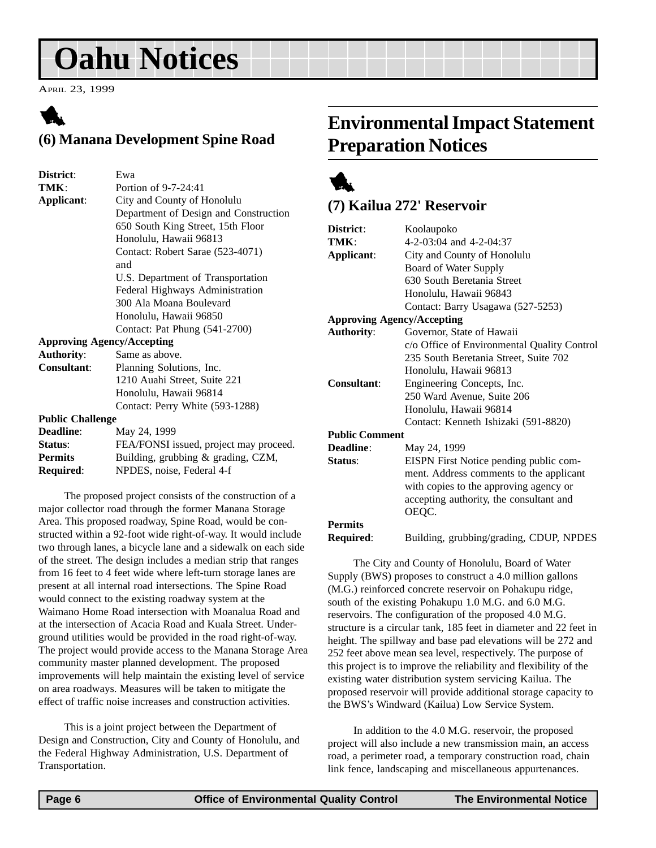<span id="page-5-0"></span>APRIL 23, 1999

# 1 **(6) Manana Development Spine Road**

| District:               | Ewa                                    |
|-------------------------|----------------------------------------|
| TMK:                    | Portion of 9-7-24:41                   |
| Applicant:              | City and County of Honolulu            |
|                         | Department of Design and Construction  |
|                         | 650 South King Street, 15th Floor      |
|                         | Honolulu, Hawaii 96813                 |
|                         | Contact: Robert Sarae (523-4071)       |
|                         | and                                    |
|                         | U.S. Department of Transportation      |
|                         | Federal Highways Administration        |
|                         | 300 Ala Moana Boulevard                |
|                         | Honolulu, Hawaii 96850                 |
|                         | Contact: Pat Phung (541-2700)          |
|                         | <b>Approving Agency/Accepting</b>      |
| <b>Authority:</b>       | Same as above.                         |
| <b>Consultant:</b>      | Planning Solutions, Inc.               |
|                         | 1210 Auahi Street, Suite 221           |
|                         | Honolulu, Hawaii 96814                 |
|                         | Contact: Perry White (593-1288)        |
| <b>Public Challenge</b> |                                        |
| <b>Deadline:</b>        | May 24, 1999                           |
| Status:                 | FEA/FONSI issued, project may proceed. |
| <b>Permits</b>          | Building, grubbing & grading, CZM,     |

**Required**: NPDES, noise, Federal 4-f

The proposed project consists of the construction of a major collector road through the former Manana Storage Area. This proposed roadway, Spine Road, would be constructed within a 92-foot wide right-of-way. It would include two through lanes, a bicycle lane and a sidewalk on each side of the street. The design includes a median strip that ranges from 16 feet to 4 feet wide where left-turn storage lanes are present at all internal road intersections. The Spine Road would connect to the existing roadway system at the Waimano Home Road intersection with Moanalua Road and at the intersection of Acacia Road and Kuala Street. Underground utilities would be provided in the road right-of-way. The project would provide access to the Manana Storage Area community master planned development. The proposed improvements will help maintain the existing level of service on area roadways. Measures will be taken to mitigate the effect of traffic noise increases and construction activities.

This is a joint project between the Department of Design and Construction, City and County of Honolulu, and the Federal Highway Administration, U.S. Department of Transportation.

# **Environmental Impact Statement Preparation Notices**



### **(7) Kailua 272' Reservoir**

| District:                         | Koolaupoko                                  |
|-----------------------------------|---------------------------------------------|
| TMK ·                             | $4 - 2 - 03:04$ and $4 - 2 - 04:37$         |
| Applicant:                        | City and County of Honolulu                 |
|                                   | Board of Water Supply                       |
|                                   | 630 South Beretania Street                  |
|                                   | Honolulu, Hawaii 96843                      |
|                                   | Contact: Barry Usagawa (527-5253)           |
| <b>Approving Agency/Accepting</b> |                                             |
| <b>Authority:</b>                 | Governor, State of Hawaii                   |
|                                   | c/o Office of Environmental Quality Control |
|                                   | 235 South Beretania Street, Suite 702       |
|                                   | Honolulu, Hawaii 96813                      |
| Consultant:                       | Engineering Concepts, Inc.                  |
|                                   | 250 Ward Avenue, Suite 206                  |
|                                   | Honolulu, Hawaii 96814                      |
|                                   | Contact: Kenneth Ishizaki (591-8820)        |
| <b>Public Comment</b>             |                                             |
| Deadline:                         | May 24, 1999                                |
| Status:                           | EISPN First Notice pending public com-      |
|                                   | ment. Address comments to the applicant     |
|                                   | with copies to the approving agency or      |
|                                   | accepting authority, the consultant and     |
|                                   | OEQC.                                       |
| <b>Permits</b>                    |                                             |
| Required:                         | Building, grubbing/grading, CDUP, NPDES     |

The City and County of Honolulu, Board of Water Supply (BWS) proposes to construct a 4.0 million gallons (M.G.) reinforced concrete reservoir on Pohakupu ridge, south of the existing Pohakupu 1.0 M.G. and 6.0 M.G. reservoirs. The configuration of the proposed 4.0 M.G. structure is a circular tank, 185 feet in diameter and 22 feet in height. The spillway and base pad elevations will be 272 and 252 feet above mean sea level, respectively. The purpose of this project is to improve the reliability and flexibility of the existing water distribution system servicing Kailua. The proposed reservoir will provide additional storage capacity to the BWS's Windward (Kailua) Low Service System.

In addition to the 4.0 M.G. reservoir, the proposed project will also include a new transmission main, an access road, a perimeter road, a temporary construction road, chain link fence, landscaping and miscellaneous appurtenances.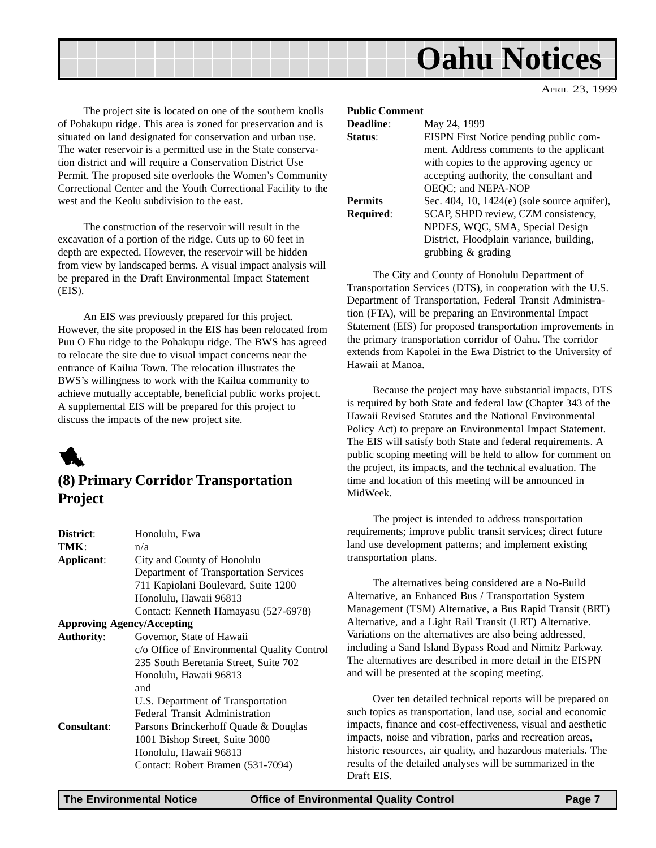<span id="page-6-0"></span>

APRIL 23, 1999

The project site is located on one of the southern knolls of Pohakupu ridge. This area is zoned for preservation and is situated on land designated for conservation and urban use. The water reservoir is a permitted use in the State conservation district and will require a Conservation District Use Permit. The proposed site overlooks the Women's Community Correctional Center and the Youth Correctional Facility to the west and the Keolu subdivision to the east.

The construction of the reservoir will result in the excavation of a portion of the ridge. Cuts up to 60 feet in depth are expected. However, the reservoir will be hidden from view by landscaped berms. A visual impact analysis will be prepared in the Draft Environmental Impact Statement (EIS).

An EIS was previously prepared for this project. However, the site proposed in the EIS has been relocated from Puu O Ehu ridge to the Pohakupu ridge. The BWS has agreed to relocate the site due to visual impact concerns near the entrance of Kailua Town. The relocation illustrates the BWS's willingness to work with the Kailua community to achieve mutually acceptable, beneficial public works project. A supplemental EIS will be prepared for this project to discuss the impacts of the new project site.



### **(8) Primary Corridor Transportation Project**

| District:          | Honolulu, Ewa                               |
|--------------------|---------------------------------------------|
| TMK:               | n/a                                         |
| Applicant:         | City and County of Honolulu                 |
|                    | Department of Transportation Services       |
|                    | 711 Kapiolani Boulevard, Suite 1200         |
|                    | Honolulu, Hawaii 96813                      |
|                    | Contact: Kenneth Hamayasu (527-6978)        |
|                    | <b>Approving Agency/Accepting</b>           |
| <b>Authority:</b>  | Governor, State of Hawaii                   |
|                    | c/o Office of Environmental Quality Control |
|                    | 235 South Beretania Street, Suite 702       |
|                    | Honolulu, Hawaii 96813                      |
|                    | and                                         |
|                    | U.S. Department of Transportation           |
|                    | Federal Transit Administration              |
| <b>Consultant:</b> | Parsons Brinckerhoff Quade & Douglas        |
|                    | 1001 Bishop Street, Suite 3000              |
|                    | Honolulu, Hawaii 96813                      |
|                    | Contact: Robert Bramen (531-7094)           |
|                    |                                             |

### **Public Comment Deadline**: May 24, 1999 **Status**: EISPN First Notice pending public comment. Address comments to the applicant with copies to the approving agency or accepting authority, the consultant and OEQC; and NEPA-NOP **Permits** Sec. 404, 10, 1424(e) (sole source aquifer), **Required**: SCAP, SHPD review, CZM consistency, NPDES, WQC, SMA, Special Design District, Floodplain variance, building, grubbing & grading

The City and County of Honolulu Department of Transportation Services (DTS), in cooperation with the U.S. Department of Transportation, Federal Transit Administration (FTA), will be preparing an Environmental Impact Statement (EIS) for proposed transportation improvements in the primary transportation corridor of Oahu. The corridor extends from Kapolei in the Ewa District to the University of Hawaii at Manoa.

Because the project may have substantial impacts, DTS is required by both State and federal law (Chapter 343 of the Hawaii Revised Statutes and the National Environmental Policy Act) to prepare an Environmental Impact Statement. The EIS will satisfy both State and federal requirements. A public scoping meeting will be held to allow for comment on the project, its impacts, and the technical evaluation. The time and location of this meeting will be announced in MidWeek.

The project is intended to address transportation requirements; improve public transit services; direct future land use development patterns; and implement existing transportation plans.

The alternatives being considered are a No-Build Alternative, an Enhanced Bus / Transportation System Management (TSM) Alternative, a Bus Rapid Transit (BRT) Alternative, and a Light Rail Transit (LRT) Alternative. Variations on the alternatives are also being addressed, including a Sand Island Bypass Road and Nimitz Parkway. The alternatives are described in more detail in the EISPN and will be presented at the scoping meeting.

Over ten detailed technical reports will be prepared on such topics as transportation, land use, social and economic impacts, finance and cost-effectiveness, visual and aesthetic impacts, noise and vibration, parks and recreation areas, historic resources, air quality, and hazardous materials. The results of the detailed analyses will be summarized in the Draft EIS.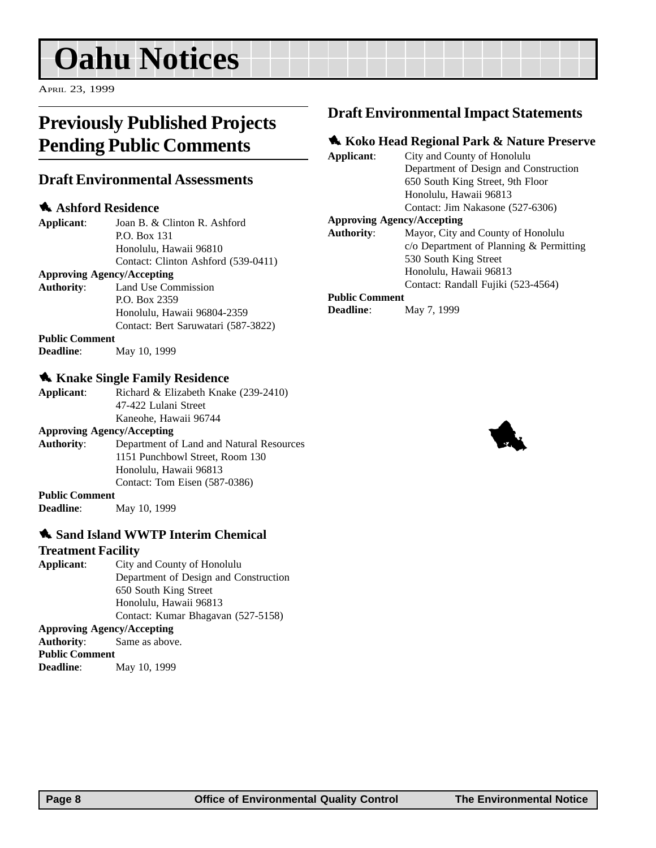<span id="page-7-0"></span>APRIL 23, 1999

# **Previously Published Projects Pending Public Comments**

### **Draft Environmental Assessments**

### **1** Ashford Residence

**Applicant**: Joan B. & Clinton R. Ashford P.O. Box 131 Honolulu, Hawaii 96810 Contact: Clinton Ashford (539-0411)

### **Approving Agency/Accepting**

**Authority**: Land Use Commission P.O. Box 2359 Honolulu, Hawaii 96804-2359 Contact: Bert Saruwatari (587-3822)

**Public Comment**

**Deadline**: May 10, 1999

### **1 Knake Single Family Residence**

**Applicant**: Richard & Elizabeth Knake (239-2410) 47-422 Lulani Street Kaneohe, Hawaii 96744

#### **Approving Agency/Accepting**

- **Authority**: Department of Land and Natural Resources 1151 Punchbowl Street, Room 130 Honolulu, Hawaii 96813 Contact: Tom Eisen (587-0386)
- **Public Comment Deadline**: May 10, 1999

### **1. Sand Island WWTP Interim Chemical**

### **Treatment Facility**

**Applicant**: City and County of Honolulu Department of Design and Construction 650 South King Street Honolulu, Hawaii 96813 Contact: Kumar Bhagavan (527-5158) **Approving Agency/Accepting**

**Authority**: Same as above. **Public Comment Deadline**: May 10, 1999

### **Draft Environmental Impact Statements**

### 1 **Koko Head Regional Park & Nature Preserve**

Honolulu, Hawaii 96813

**Applicant**: City and County of Honolulu Department of Design and Construction 650 South King Street, 9th Floor Honolulu, Hawaii 96813 Contact: Jim Nakasone (527-6306) **Approving Agency/Accepting Authority**: Mayor, City and County of Honolulu c/o Department of Planning & Permitting 530 South King Street

#### Contact: Randall Fujiki (523-4564) **Public Comment**

**Deadline**: May 7, 1999

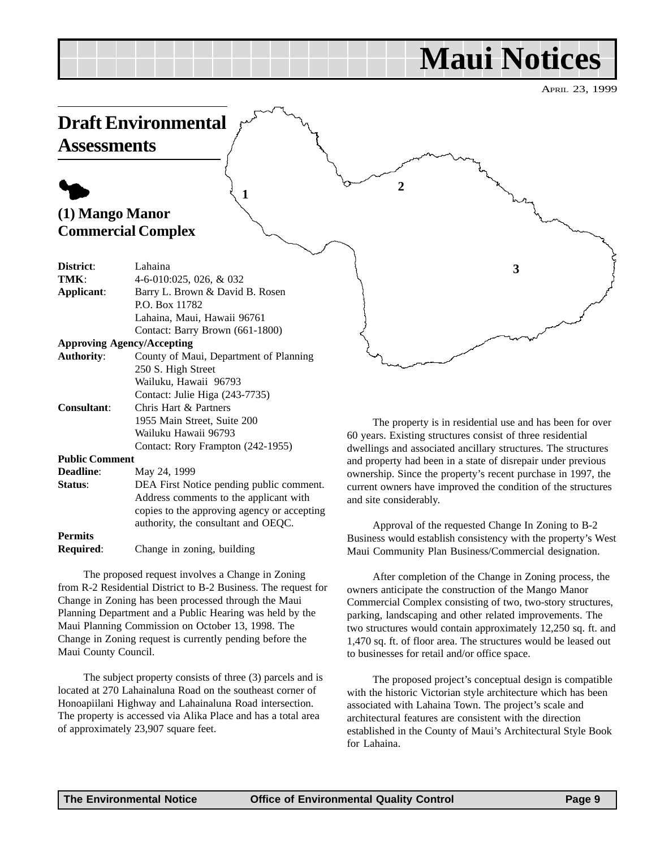# **Maui Notices**

**3**

APRIL 23, 1999

# <span id="page-8-0"></span>**Draft Environmental Assessments**

## $\blacklozenge$ **(1) Mango Manor Commercial Complex**

| District:                         | Lahaina                                     |
|-----------------------------------|---------------------------------------------|
| TMK:                              | 4-6-010:025, 026, & 032                     |
| Applicant:                        | Barry L. Brown & David B. Rosen             |
|                                   | P.O. Box 11782                              |
|                                   | Lahaina, Maui, Hawaii 96761                 |
|                                   | Contact: Barry Brown (661-1800)             |
| <b>Approving Agency/Accepting</b> |                                             |
| <b>Authority:</b>                 | County of Maui, Department of Planning      |
|                                   | 250 S. High Street                          |
|                                   | Wailuku, Hawaii 96793                       |
|                                   | Contact: Julie Higa (243-7735)              |
| <b>Consultant:</b>                | Chris Hart & Partners                       |
|                                   | 1955 Main Street, Suite 200                 |
|                                   | Wailuku Hawaii 96793                        |
|                                   | Contact: Rory Frampton (242-1955)           |
| <b>Public Comment</b>             |                                             |
| <b>Deadline:</b>                  | May 24, 1999                                |
| Status:                           | DEA First Notice pending public comment.    |
|                                   | Address comments to the applicant with      |
|                                   | copies to the approving agency or accepting |
|                                   | authority, the consultant and OEQC.         |
| <b>Permits</b>                    |                                             |

**Required**: Change in zoning, building

The proposed request involves a Change in Zoning from R-2 Residential District to B-2 Business. The request for Change in Zoning has been processed through the Maui Planning Department and a Public Hearing was held by the Maui Planning Commission on October 13, 1998. The Change in Zoning request is currently pending before the Maui County Council.

The subject property consists of three (3) parcels and is located at 270 Lahainaluna Road on the southeast corner of Honoapiilani Highway and Lahainaluna Road intersection. The property is accessed via Alika Place and has a total area of approximately 23,907 square feet.

The property is in residential use and has been for over 60 years. Existing structures consist of three residential dwellings and associated ancillary structures. The structures and property had been in a state of disrepair under previous ownership. Since the property's recent purchase in 1997, the current owners have improved the condition of the structures and site considerably.

Approval of the requested Change In Zoning to B-2 Business would establish consistency with the property's West Maui Community Plan Business/Commercial designation.

After completion of the Change in Zoning process, the owners anticipate the construction of the Mango Manor Commercial Complex consisting of two, two-story structures, parking, landscaping and other related improvements. The two structures would contain approximately 12,250 sq. ft. and 1,470 sq. ft. of floor area. The structures would be leased out to businesses for retail and/or office space.

The proposed project's conceptual design is compatible with the historic Victorian style architecture which has been associated with Lahaina Town. The project's scale and architectural features are consistent with the direction established in the County of Maui's Architectural Style Book for Lahaina.

 $\begin{array}{ccc} & & & \circ & & 2 \\ 1 & & & & \end{array}$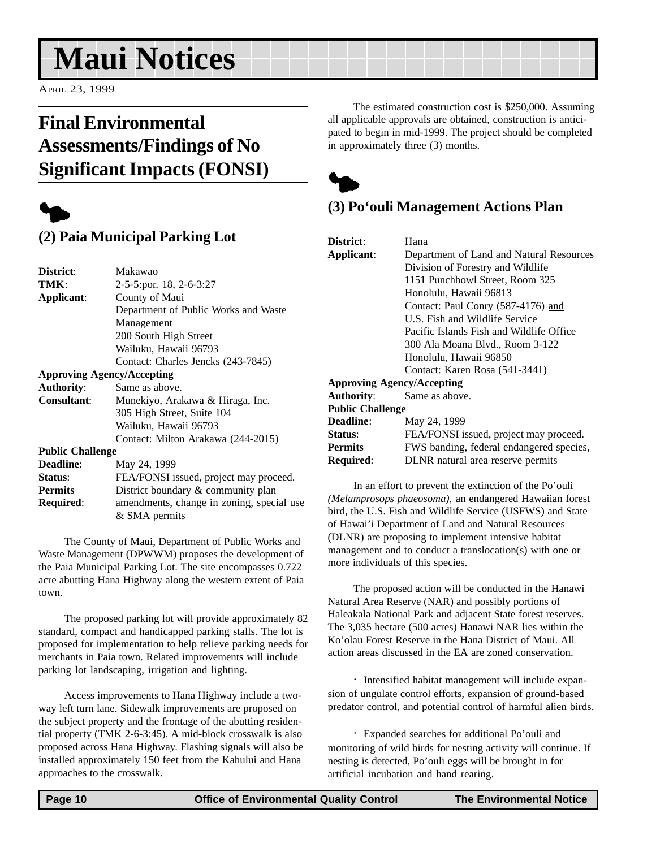# <span id="page-9-0"></span>**Maui Notices**

APRIL 23, 1999

# **Final Environmental Assessments/Findings of No Significant Impacts (FONSI)**



## **(2) Paia Municipal Parking Lot**

| District:                         | Makawao                                   |
|-----------------------------------|-------------------------------------------|
| TMK:                              | 2-5-5:por. 18, 2-6-3:27                   |
| Applicant:                        | County of Maui                            |
|                                   | Department of Public Works and Waste      |
|                                   | Management                                |
|                                   | 200 South High Street                     |
|                                   | Wailuku, Hawaii 96793                     |
|                                   | Contact: Charles Jencks (243-7845)        |
| <b>Approving Agency/Accepting</b> |                                           |
| <b>Authority:</b>                 | Same as above.                            |
| <b>Consultant:</b>                | Munekiyo, Arakawa & Hiraga, Inc.          |
|                                   | 305 High Street, Suite 104                |
|                                   | Wailuku, Hawaii 96793                     |
|                                   | Contact: Milton Arakawa (244-2015)        |
| <b>Public Challenge</b>           |                                           |
| Deadline:                         | May 24, 1999                              |
| Status:                           | FEA/FONSI issued, project may proceed.    |
| <b>Permits</b>                    | District boundary & community plan        |
| Required:                         | amendments, change in zoning, special use |
|                                   | & SMA permits                             |
|                                   |                                           |

The County of Maui, Department of Public Works and Waste Management (DPWWM) proposes the development of the Paia Municipal Parking Lot. The site encompasses 0.722 acre abutting Hana Highway along the western extent of Paia town.

The proposed parking lot will provide approximately 82 standard, compact and handicapped parking stalls. The lot is proposed for implementation to help relieve parking needs for merchants in Paia town. Related improvements will include parking lot landscaping, irrigation and lighting.

Access improvements to Hana Highway include a twoway left turn lane. Sidewalk improvements are proposed on the subject property and the frontage of the abutting residential property (TMK 2-6-3:45). A mid-block crosswalk is also proposed across Hana Highway. Flashing signals will also be installed approximately 150 feet from the Kahului and Hana approaches to the crosswalk.

The estimated construction cost is \$250,000. Assuming all applicable approvals are obtained, construction is anticipated to begin in mid-1999. The project should be completed in approximately three (3) months.



## **(3) Po'ouli Management Actions Plan**

| District:               | Hana                                     |
|-------------------------|------------------------------------------|
| Applicant:              | Department of Land and Natural Resources |
|                         | Division of Forestry and Wildlife        |
|                         | 1151 Punchbowl Street, Room 325          |
|                         | Honolulu, Hawaii 96813                   |
|                         | Contact: Paul Conry (587-4176) and       |
|                         | U.S. Fish and Wildlife Service           |
|                         | Pacific Islands Fish and Wildlife Office |
|                         | 300 Ala Moana Blvd., Room 3-122          |
|                         | Honolulu, Hawaii 96850                   |
|                         | Contact: Karen Rosa (541-3441)           |
|                         | <b>Approving Agency/Accepting</b>        |
| Authority:              | Same as above.                           |
| <b>Public Challenge</b> |                                          |
| Deadline:               | May 24, 1999                             |
| Status:                 | FEA/FONSI issued, project may proceed.   |
| <b>Permits</b>          | FWS banding, federal endangered species, |
| Required:               | DLNR natural area reserve permits        |

In an effort to prevent the extinction of the Po'ouli *(Melamprosops phaeosoma),* an endangered Hawaiian forest bird, the U.S. Fish and Wildlife Service (USFWS) and State of Hawai'i Department of Land and Natural Resources (DLNR) are proposing to implement intensive habitat management and to conduct a translocation(s) with one or more individuals of this species.

The proposed action will be conducted in the Hanawi Natural Area Reserve (NAR) and possibly portions of Haleakala National Park and adjacent State forest reserves. The 3,035 hectare (500 acres) Hanawi NAR lies within the Ko'olau Forest Reserve in the Hana District of Maui. All action areas discussed in the EA are zoned conservation.

· Intensified habitat management will include expansion of ungulate control efforts, expansion of ground-based predator control, and potential control of harmful alien birds.

· Expanded searches for additional Po'ouli and monitoring of wild birds for nesting activity will continue. If nesting is detected, Po'ouli eggs will be brought in for artificial incubation and hand rearing.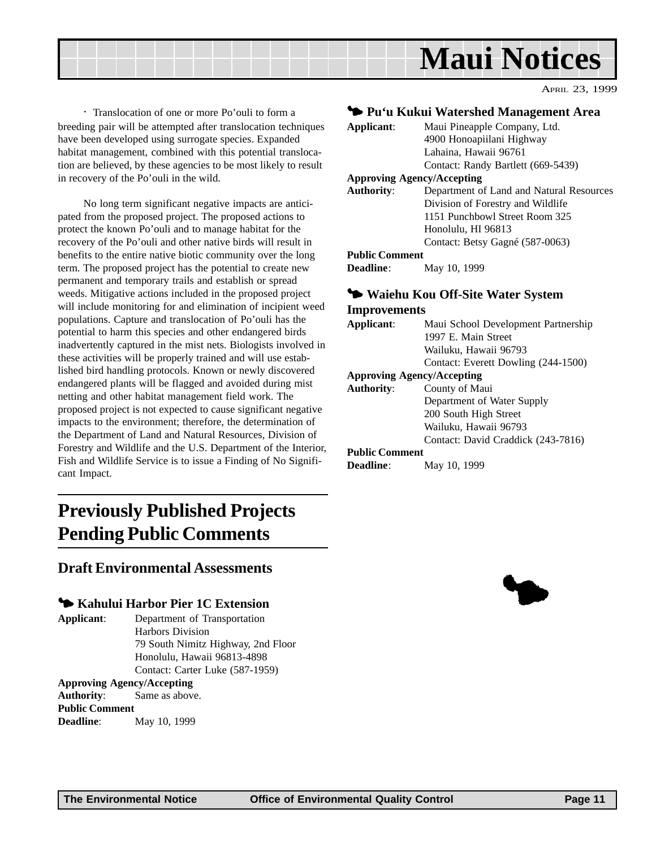<span id="page-10-0"></span>

APRIL 23, 1999

· Translocation of one or more Po'ouli to form a breeding pair will be attempted after translocation techniques have been developed using surrogate species. Expanded habitat management, combined with this potential translocation are believed, by these agencies to be most likely to result in recovery of the Po'ouli in the wild.

No long term significant negative impacts are anticipated from the proposed project. The proposed actions to protect the known Po'ouli and to manage habitat for the recovery of the Po'ouli and other native birds will result in benefits to the entire native biotic community over the long term. The proposed project has the potential to create new permanent and temporary trails and establish or spread weeds. Mitigative actions included in the proposed project will include monitoring for and elimination of incipient weed populations. Capture and translocation of Po'ouli has the potential to harm this species and other endangered birds inadvertently captured in the mist nets. Biologists involved in these activities will be properly trained and will use established bird handling protocols. Known or newly discovered endangered plants will be flagged and avoided during mist netting and other habitat management field work. The proposed project is not expected to cause significant negative impacts to the environment; therefore, the determination of the Department of Land and Natural Resources, Division of Forestry and Wildlife and the U.S. Department of the Interior, Fish and Wildlife Service is to issue a Finding of No Significant Impact.

# **Previously Published Projects Pending Public Comments**

### **Draft Environmental Assessments**

### 3 **Kahului Harbor Pier 1C Extension**

**Applicant**: Department of Transportation Harbors Division 79 South Nimitz Highway, 2nd Floor Honolulu, Hawaii 96813-4898 Contact: Carter Luke (587-1959)

#### **Approving Agency/Accepting**

**Authority**: Same as above. **Public Comment Deadline**: May 10, 1999

### 3 **Pu'u Kukui Watershed Management Area**

| Applicant:            | Maui Pineapple Company, Ltd.             |
|-----------------------|------------------------------------------|
|                       | 4900 Honoapiilani Highway                |
|                       | Lahaina, Hawaii 96761                    |
|                       | Contact: Randy Bartlett (669-5439)       |
|                       | <b>Approving Agency/Accepting</b>        |
| <b>Authority:</b>     | Department of Land and Natural Resources |
|                       | Division of Forestry and Wildlife        |
|                       | 1151 Punchbowl Street Room 325           |
|                       | Honolulu, HI 96813                       |
|                       | Contact: Betsy Gagné (587-0063)          |
| <b>Public Comment</b> |                                          |
| <b>Deadline:</b>      | May 10, 1999                             |
|                       |                                          |

### 3 **Waiehu Kou Off-Site Water System Improvements**

| ширготешене           |                                     |
|-----------------------|-------------------------------------|
| Applicant:            | Maui School Development Partnership |
|                       | 1997 E. Main Street                 |
|                       | Wailuku, Hawaii 96793               |
|                       | Contact: Everett Dowling (244-1500) |
|                       | <b>Approving Agency/Accepting</b>   |
| <b>Authority:</b>     | County of Maui                      |
|                       | Department of Water Supply          |
|                       | 200 South High Street               |
|                       | Wailuku, Hawaii 96793               |
|                       | Contact: David Craddick (243-7816)  |
| <b>Public Comment</b> |                                     |
| Deadline:             | May 10, 1999                        |
|                       |                                     |

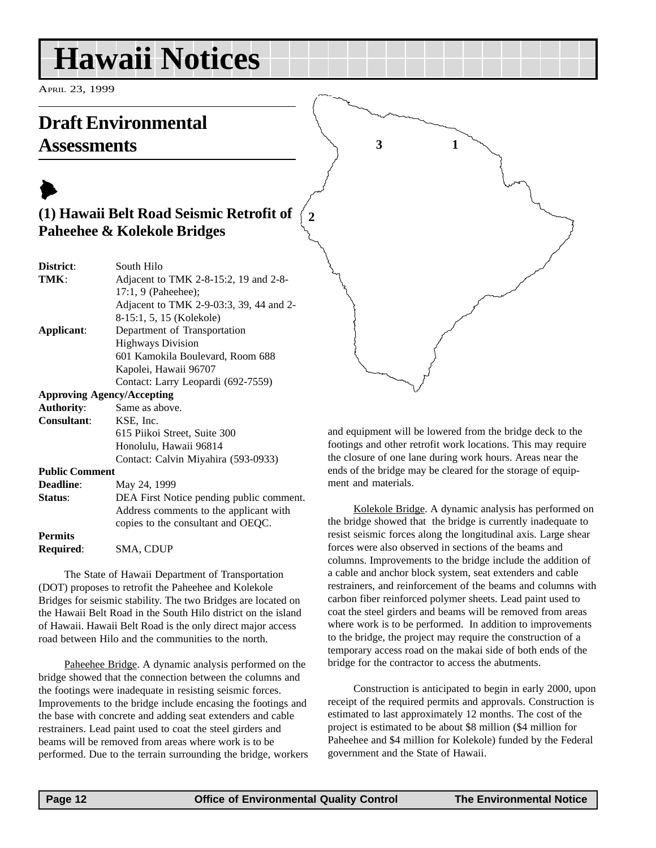# <span id="page-11-0"></span>**Hawaii Notices**

APRIL 23, 1999

# **Draft Environmental Assessments**

# $\blacktriangleright$ **(1) Hawaii Belt Road Seismic Retrofit of Paheehee & Kolekole Bridges**

| District:  | South Hilo                              |
|------------|-----------------------------------------|
| TMK:       | Adjacent to TMK 2-8-15:2, 19 and 2-8-   |
|            | $17:1, 9$ (Paheehee);                   |
|            | Adjacent to TMK 2-9-03:3, 39, 44 and 2- |
|            | 8-15:1, 5, 15 (Kolekole)                |
| Applicant: | Department of Transportation            |
|            | <b>Highways Division</b>                |
|            | 601 Kamokila Boulevard, Room 688        |
|            | Kapolei, Hawaii 96707                   |
|            | Contact: Larry Leopardi (692-7559)      |
|            | <b>Approving Agency/Accepting</b>       |
|            |                                         |

**Authority**: Same as above. **Consultant**: KSE, Inc. 615 Piikoi Street, Suite 300 Honolulu, Hawaii 96814 Contact: Calvin Miyahira (593-0933) **Public Comment**

**Deadline**: May 24, 1999 **Status:** DEA First Notice pending public comment. Address comments to the applicant with copies to the consultant and OEQC. **Permits Required**: SMA, CDUP

The State of Hawaii Department of Transportation (DOT) proposes to retrofit the Paheehee and Kolekole Bridges for seismic stability. The two Bridges are located on the Hawaii Belt Road in the South Hilo district on the island of Hawaii. Hawaii Belt Road is the only direct major access road between Hilo and the communities to the north.

Paheehee Bridge. A dynamic analysis performed on the bridge showed that the connection between the columns and the footings were inadequate in resisting seismic forces. Improvements to the bridge include encasing the footings and the base with concrete and adding seat extenders and cable restrainers. Lead paint used to coat the steel girders and beams will be removed from areas where work is to be performed. Due to the terrain surrounding the bridge, workers and equipment will be lowered from the bridge deck to the footings and other retrofit work locations. This may require the closure of one lane during work hours. Areas near the ends of the bridge may be cleared for the storage of equipment and materials.

**3 1**

**2**

Kolekole Bridge. A dynamic analysis has performed on the bridge showed that the bridge is currently inadequate to resist seismic forces along the longitudinal axis. Large shear forces were also observed in sections of the beams and columns. Improvements to the bridge include the addition of a cable and anchor block system, seat extenders and cable restrainers, and reinforcement of the beams and columns with carbon fiber reinforced polymer sheets. Lead paint used to coat the steel girders and beams will be removed from areas where work is to be performed. In addition to improvements to the bridge, the project may require the construction of a temporary access road on the makai side of both ends of the bridge for the contractor to access the abutments.

Construction is anticipated to begin in early 2000, upon receipt of the required permits and approvals. Construction is estimated to last approximately 12 months. The cost of the project is estimated to be about \$8 million (\$4 million for Paheehee and \$4 million for Kolekole) funded by the Federal government and the State of Hawaii.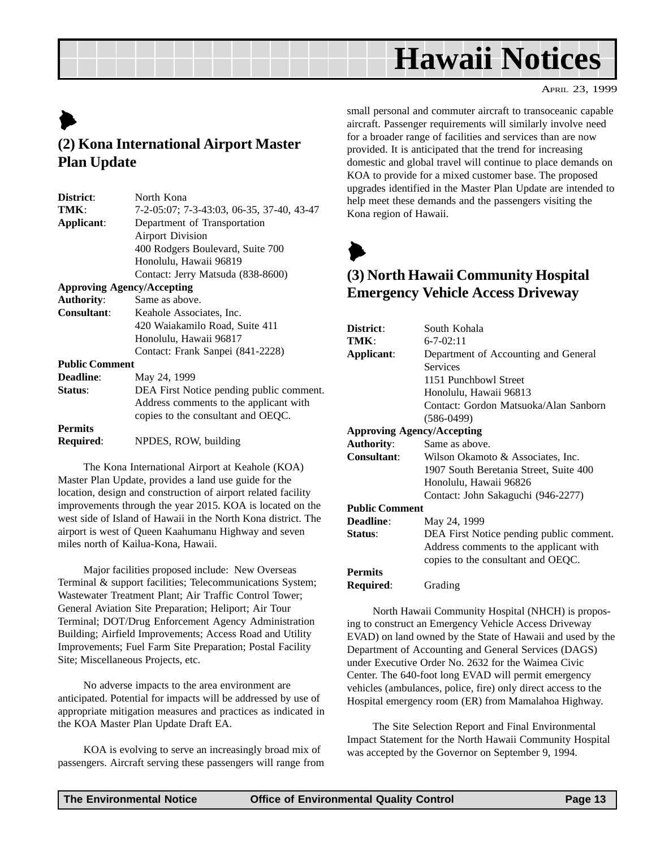# **Hawaii Notices**

# <span id="page-12-0"></span> $\blacktriangleright$ **(2) Kona International Airport Master Plan Update**

| District:             | North Kona                                |
|-----------------------|-------------------------------------------|
| TMK:                  | 7-2-05:07; 7-3-43:03, 06-35, 37-40, 43-47 |
| Applicant:            | Department of Transportation              |
|                       | <b>Airport Division</b>                   |
|                       | 400 Rodgers Boulevard, Suite 700          |
|                       | Honolulu, Hawaii 96819                    |
|                       | Contact: Jerry Matsuda (838-8600)         |
|                       | <b>Approving Agency/Accepting</b>         |
| <b>Authority:</b>     | Same as above.                            |
| <b>Consultant:</b>    | Keahole Associates, Inc.                  |
|                       | 420 Waiakamilo Road, Suite 411            |
|                       | Honolulu, Hawaii 96817                    |
|                       | Contact: Frank Sanpei (841-2228)          |
| <b>Public Comment</b> |                                           |
| <b>Deadline:</b>      | May 24, 1999                              |
| Status:               | DEA First Notice pending public comment.  |
|                       | Address comments to the applicant with    |
|                       | copies to the consultant and OEQC.        |
| <b>Permits</b>        |                                           |
| <b>Required:</b>      | NPDES, ROW, building                      |
|                       |                                           |

The Kona International Airport at Keahole (KOA) Master Plan Update, provides a land use guide for the location, design and construction of airport related facility improvements through the year 2015. KOA is located on the west side of Island of Hawaii in the North Kona district. The airport is west of Queen Kaahumanu Highway and seven miles north of Kailua-Kona, Hawaii.

Major facilities proposed include: New Overseas Terminal & support facilities; Telecommunications System; Wastewater Treatment Plant; Air Traffic Control Tower; General Aviation Site Preparation; Heliport; Air Tour Terminal; DOT/Drug Enforcement Agency Administration Building; Airfield Improvements; Access Road and Utility Improvements; Fuel Farm Site Preparation; Postal Facility Site; Miscellaneous Projects, etc.

No adverse impacts to the area environment are anticipated. Potential for impacts will be addressed by use of appropriate mitigation measures and practices as indicated in the KOA Master Plan Update Draft EA.

KOA is evolving to serve an increasingly broad mix of passengers. Aircraft serving these passengers will range from small personal and commuter aircraft to transoceanic capable aircraft. Passenger requirements will similarly involve need for a broader range of facilities and services than are now provided. It is anticipated that the trend for increasing domestic and global travel will continue to place demands on KOA to provide for a mixed customer base. The proposed upgrades identified in the Master Plan Update are intended to help meet these demands and the passengers visiting the Kona region of Hawaii.



## **(3) North Hawaii Community Hospital Emergency Vehicle Access Driveway**

| District:                         | South Kohala                             |
|-----------------------------------|------------------------------------------|
| TMK:                              | $6 - 7 - 02:11$                          |
| Applicant:                        | Department of Accounting and General     |
|                                   | <b>Services</b>                          |
|                                   | 1151 Punchbowl Street                    |
|                                   | Honolulu, Hawaii 96813                   |
|                                   | Contact: Gordon Matsuoka/Alan Sanborn    |
|                                   | $(586-0499)$                             |
| <b>Approving Agency/Accepting</b> |                                          |
| <b>Authority:</b>                 | Same as above.                           |
| <b>Consultant:</b>                | Wilson Okamoto & Associates, Inc.        |
|                                   | 1907 South Beretania Street, Suite 400   |
|                                   | Honolulu, Hawaii 96826                   |
|                                   | Contact: John Sakaguchi (946-2277)       |
| <b>Public Comment</b>             |                                          |
| Deadline:                         | May 24, 1999                             |
| Status:                           | DEA First Notice pending public comment. |
|                                   | Address comments to the applicant with   |
|                                   | copies to the consultant and OEQC.       |
| <b>Permits</b>                    |                                          |
| Required:                         | Grading                                  |
|                                   |                                          |

North Hawaii Community Hospital (NHCH) is proposing to construct an Emergency Vehicle Access Driveway EVAD) on land owned by the State of Hawaii and used by the Department of Accounting and General Services (DAGS) under Executive Order No. 2632 for the Waimea Civic Center. The 640-foot long EVAD will permit emergency vehicles (ambulances, police, fire) only direct access to the Hospital emergency room (ER) from Mamalahoa Highway.

The Site Selection Report and Final Environmental Impact Statement for the North Hawaii Community Hospital was accepted by the Governor on September 9, 1994.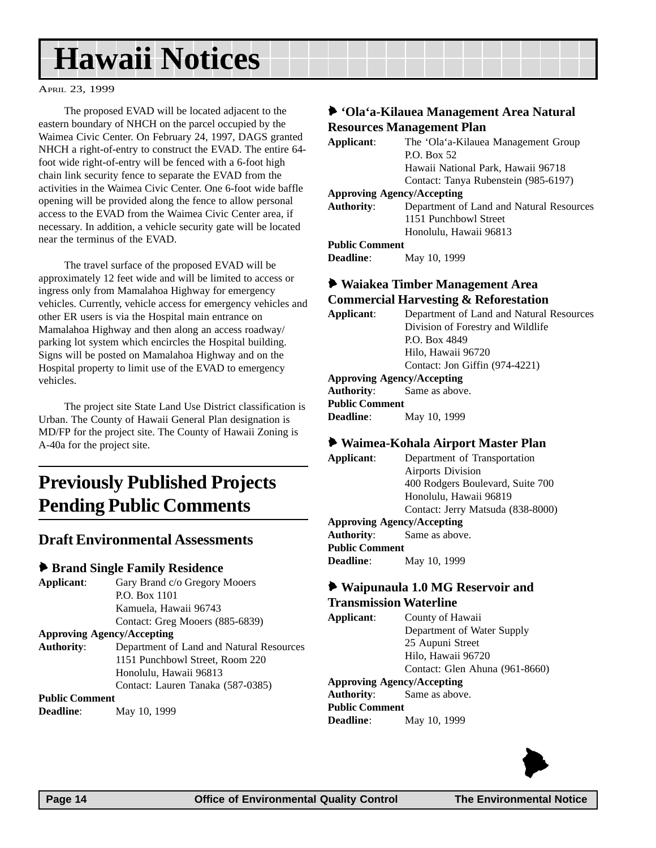# <span id="page-13-0"></span>**Hawaii Notices**

APRIL 23, 1999

The proposed EVAD will be located adjacent to the eastern boundary of NHCH on the parcel occupied by the Waimea Civic Center. On February 24, 1997, DAGS granted NHCH a right-of-entry to construct the EVAD. The entire 64 foot wide right-of-entry will be fenced with a 6-foot high chain link security fence to separate the EVAD from the activities in the Waimea Civic Center. One 6-foot wide baffle opening will be provided along the fence to allow personal access to the EVAD from the Waimea Civic Center area, if necessary. In addition, a vehicle security gate will be located near the terminus of the EVAD.

The travel surface of the proposed EVAD will be approximately 12 feet wide and will be limited to access or ingress only from Mamalahoa Highway for emergency vehicles. Currently, vehicle access for emergency vehicles and other ER users is via the Hospital main entrance on Mamalahoa Highway and then along an access roadway/ parking lot system which encircles the Hospital building. Signs will be posted on Mamalahoa Highway and on the Hospital property to limit use of the EVAD to emergency vehicles.

The project site State Land Use District classification is Urban. The County of Hawaii General Plan designation is MD/FP for the project site. The County of Hawaii Zoning is A-40a for the project site.

# **Previously Published Projects Pending Public Comments**

### **Draft Environmental Assessments**

### 6 **Brand Single Family Residence**

| Applicant:        | Gary Brand c/o Gregory Mooers            |
|-------------------|------------------------------------------|
|                   | P.O. Box 1101                            |
|                   | Kamuela, Hawaii 96743                    |
|                   | Contact: Greg Mooers (885-6839)          |
|                   | <b>Approving Agency/Accepting</b>        |
| <b>Authority:</b> | Department of Land and Natural Resources |
|                   | 1151 Punchbowl Street, Room 220          |
|                   | Honolulu, Hawaii 96813                   |
|                   | Contact: Lauren Tanaka (587-0385)        |
|                   |                                          |

### **Public Comment**

**Deadline**: May 10, 1999

### 6 **'Ola'a-Kilauea Management Area Natural Resources Management Plan**

| Applicant:                        | The 'Ola'a-Kilauea Management Group      |  |
|-----------------------------------|------------------------------------------|--|
|                                   | P.O. Box 52                              |  |
|                                   | Hawaii National Park, Hawaii 96718       |  |
|                                   | Contact: Tanya Rubenstein (985-6197)     |  |
| <b>Approving Agency/Accepting</b> |                                          |  |
| <b>Authority:</b>                 | Department of Land and Natural Resources |  |
|                                   | 1151 Punchbowl Street                    |  |
|                                   | Honolulu, Hawaii 96813                   |  |
| <b>Public Comment</b>             |                                          |  |
|                                   | <b>M. 10.1000</b>                        |  |

**Deadline**: May 10, 1999

### 6 **Waiakea Timber Management Area**

### **Commercial Harvesting & Reforestation**

**Applicant**: Department of Land and Natural Resources Division of Forestry and Wildlife P.O. Box 4849 Hilo, Hawaii 96720 Contact: Jon Giffin (974-4221) **Approving Agency/Accepting**

**Authority**: Same as above. **Public Comment**

**Deadline**: May 10, 1999

### 6 **Waimea-Kohala Airport Master Plan**

**Applicant**: Department of Transportation Airports Division 400 Rodgers Boulevard, Suite 700 Honolulu, Hawaii 96819 Contact: Jerry Matsuda (838-8000) **Approving Agency/Accepting**

**Authority**: Same as above. **Public Comment Deadline**: May 10, 1999

### 6 **Waipunaula 1.0 MG Reservoir and Transmission Waterline**

**Applicant**: County of Hawaii Department of Water Supply 25 Aupuni Street Hilo, Hawaii 96720 Contact: Glen Ahuna (961-8660) **Approving Agency/Accepting**

**Authority**: Same as above.

**Public Comment**

**Deadline**: May 10, 1999

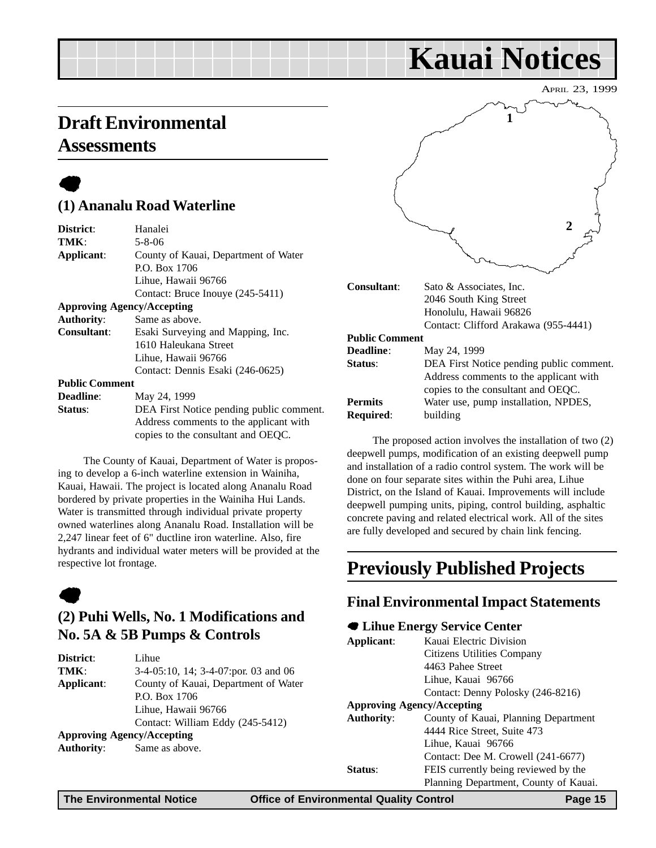# <span id="page-14-0"></span>**Draft Environmental Assessments**

# $\bullet$ **(1) Ananalu Road Waterline**

| District:             | Hanalei                                  |
|-----------------------|------------------------------------------|
| TMK:                  | $5 - 8 - 06$                             |
| Applicant:            | County of Kauai, Department of Water     |
|                       | P.O. Box 1706                            |
|                       | Lihue, Hawaii 96766                      |
|                       | Contact: Bruce Inouye (245-5411)         |
|                       | <b>Approving Agency/Accepting</b>        |
| <b>Authority:</b>     | Same as above.                           |
| Consultant:           | Esaki Surveying and Mapping, Inc.        |
|                       | 1610 Haleukana Street                    |
|                       | Lihue, Hawaii 96766                      |
|                       | Contact: Dennis Esaki (246-0625)         |
| <b>Public Comment</b> |                                          |
| Deadline:             | May 24, 1999                             |
| Status:               | DEA First Notice pending public comment. |
|                       | Address comments to the applicant with   |

Address comments to the applicant with copies to the consultant and OEQC.

The County of Kauai, Department of Water is proposing to develop a 6-inch waterline extension in Wainiha, Kauai, Hawaii. The project is located along Ananalu Road bordered by private properties in the Wainiha Hui Lands. Water is transmitted through individual private property owned waterlines along Ananalu Road. Installation will be 2,247 linear feet of 6" ductline iron waterline. Also, fire hydrants and individual water meters will be provided at the respective lot frontage.

# $\bullet$

### **(2) Puhi Wells, No. 1 Modifications and No. 5A & 5B Pumps & Controls**

| District:         | Lihue                                |
|-------------------|--------------------------------------|
| TMK:              | 3-4-05:10, 14; 3-4-07:por. 03 and 06 |
| Applicant:        | County of Kauai, Department of Water |
|                   | P.O. Box 1706                        |
|                   | Lihue, Hawaii 96766                  |
|                   | Contact: William Eddy (245-5412)     |
|                   | <b>Approving Agency/Accepting</b>    |
| <b>Authority:</b> | Same as above.                       |
|                   |                                      |

# APRIL 23, 1999 **Kauai Notices 1**

| <b>Consultant:</b>    | Sato & Associates, Inc.                  |
|-----------------------|------------------------------------------|
|                       | 2046 South King Street                   |
|                       | Honolulu, Hawaii 96826                   |
|                       | Contact: Clifford Arakawa (955-4441)     |
| <b>Public Comment</b> |                                          |
| Deadline:             | May 24, 1999                             |
| Status:               | DEA First Notice pending public comment. |
|                       | Address comments to the applicant with   |
|                       | copies to the consultant and OEQC.       |
| <b>Permits</b>        | Water use, pump installation, NPDES,     |
| Required:             | building                                 |

The proposed action involves the installation of two (2) deepwell pumps, modification of an existing deepwell pump and installation of a radio control system. The work will be done on four separate sites within the Puhi area, Lihue District, on the Island of Kauai. Improvements will include deepwell pumping units, piping, control building, asphaltic concrete paving and related electrical work. All of the sites are fully developed and secured by chain link fencing.

# **Previously Published Projects**

### **Final Environmental Impact Statements**

### 7 **Lihue Energy Service Center**

| Applicant:                        | Kauai Electric Division               |  |
|-----------------------------------|---------------------------------------|--|
|                                   | Citizens Utilities Company            |  |
|                                   | 4463 Pahee Street                     |  |
|                                   | Lihue, Kauai 96766                    |  |
|                                   | Contact: Denny Polosky (246-8216)     |  |
| <b>Approving Agency/Accepting</b> |                                       |  |
| <b>Authority:</b>                 | County of Kauai, Planning Department  |  |
|                                   | 4444 Rice Street, Suite 473           |  |
|                                   | Lihue, Kauai 96766                    |  |
|                                   | Contact: Dee M. Crowell (241-6677)    |  |
| <b>Status:</b>                    | FEIS currently being reviewed by the  |  |
|                                   | Planning Department, County of Kauai. |  |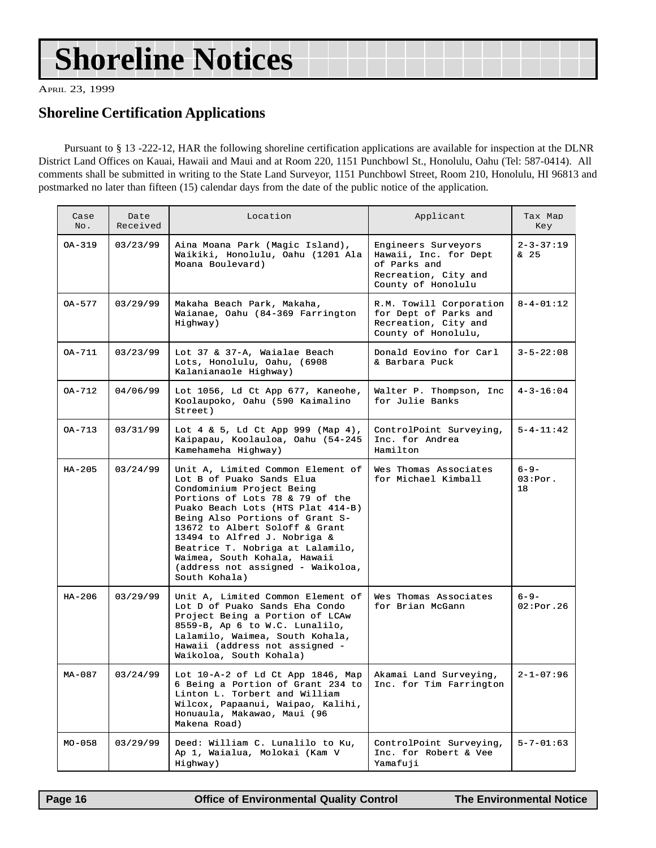# <span id="page-15-0"></span>**Shoreline Notices**

APRIL 23, 1999

### **Shoreline Certification Applications**

Pursuant to § 13 -222-12, HAR the following shoreline certification applications are available for inspection at the DLNR District Land Offices on Kauai, Hawaii and Maui and at Room 220, 1151 Punchbowl St., Honolulu, Oahu (Tel: 587-0414). All comments shall be submitted in writing to the State Land Surveyor, 1151 Punchbowl Street, Room 210, Honolulu, HI 96813 and postmarked no later than fifteen (15) calendar days from the date of the public notice of the application.

| Case<br>No. | Date<br>Received | Location                                                                                                                                                                                                                                                                                                                                                                                           | Applicant                                                                                                  | Tax Map<br>Key             |
|-------------|------------------|----------------------------------------------------------------------------------------------------------------------------------------------------------------------------------------------------------------------------------------------------------------------------------------------------------------------------------------------------------------------------------------------------|------------------------------------------------------------------------------------------------------------|----------------------------|
| $OA-319$    | 03/23/99         | Aina Moana Park (Magic Island),<br>Waikiki, Honolulu, Oahu (1201 Ala<br>Moana Boulevard)                                                                                                                                                                                                                                                                                                           | Engineers Surveyors<br>Hawaii, Inc. for Dept<br>of Parks and<br>Recreation, City and<br>County of Honolulu | $2 - 3 - 37:19$<br>& 25    |
| OA-577      | 03/29/99         | Makaha Beach Park, Makaha,<br>Waianae, Oahu (84-369 Farrington<br>Highway)                                                                                                                                                                                                                                                                                                                         | R.M. Towill Corporation<br>for Dept of Parks and<br>Recreation, City and<br>County of Honolulu,            | $8 - 4 - 01:12$            |
| $OA-711$    | 03/23/99         | Lot 37 & 37-A, Waialae Beach<br>Lots, Honolulu, Oahu, (6908<br>Kalanianaole Highway)                                                                                                                                                                                                                                                                                                               | Donald Eovino for Carl<br>& Barbara Puck                                                                   | $3 - 5 - 22:08$            |
| OA-712      | 04/06/99         | Lot 1056, Ld Ct App 677, Kaneohe,<br>Koolaupoko, Oahu (590 Kaimalino<br>Street)                                                                                                                                                                                                                                                                                                                    | Walter P. Thompson, Inc<br>for Julie Banks                                                                 | $4 - 3 - 16:04$            |
| OA-713      | 03/31/99         | Lot 4 & 5, Ld Ct App 999 (Map 4),<br>Kaipapau, Koolauloa, Oahu (54-245<br>Kamehameha Highway)                                                                                                                                                                                                                                                                                                      | ControlPoint Surveying,<br>Inc. for Andrea<br>Hamilton                                                     | $5 - 4 - 11 : 42$          |
| $HA-205$    | 03/24/99         | Unit A, Limited Common Element of<br>Lot B of Puako Sands Elua<br>Condominium Project Being<br>Portions of Lots 78 & 79 of the<br>Puako Beach Lots (HTS Plat 414-B)<br>Being Also Portions of Grant S-<br>13672 to Albert Soloff & Grant<br>13494 to Alfred J. Nobriga &<br>Beatrice T. Nobriga at Lalamilo,<br>Waimea, South Kohala, Hawaii<br>(address not assigned - Waikoloa,<br>South Kohala) | Wes Thomas Associates<br>for Michael Kimball                                                               | $6 - 9 -$<br>03:Por.<br>18 |
| HA-206      | 03/29/99         | Unit A, Limited Common Element of<br>Lot D of Puako Sands Eha Condo<br>Project Being a Portion of LCAw<br>8559-B, Ap 6 to W.C. Lunalilo,<br>Lalamilo, Waimea, South Kohala,<br>Hawaii (address not assigned -<br>Waikoloa, South Kohala)                                                                                                                                                           | Wes Thomas Associates<br>for Brian McGann                                                                  | $6 - 9 -$<br>02:Por.26     |
| MA-087      | 03/24/99         | Lot 10-A-2 of Ld Ct App 1846, Map<br>6 Being a Portion of Grant 234 to<br>Linton L. Torbert and William<br>Wilcox, Papaanui, Waipao, Kalihi,<br>Honuaula, Makawao, Maui (96<br>Makena Road)                                                                                                                                                                                                        | Akamai Land Surveying,<br>Inc. for Tim Farrington                                                          | $2 - 1 - 07:96$            |
| $MO-0.58$   | 03/29/99         | Deed: William C. Lunalilo to Ku,<br>Ap 1, Waialua, Molokai (Kam V<br>Highway)                                                                                                                                                                                                                                                                                                                      | ControlPoint Surveying,<br>Inc. for Robert & Vee<br>Yamafuji                                               | $5 - 7 - 01 : 63$          |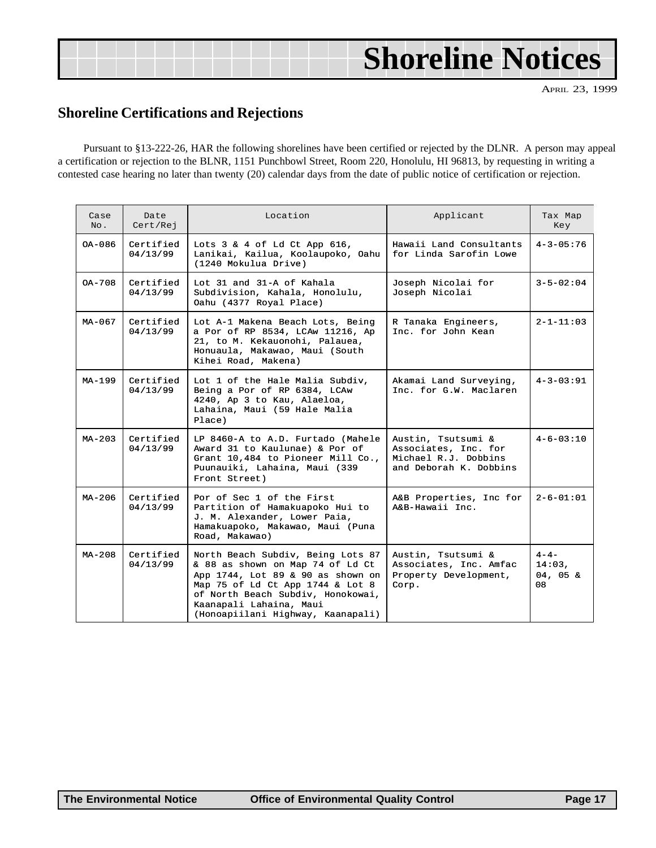# <span id="page-16-0"></span>**Shoreline Notices**

APRIL 23, 1999

### **Shoreline Certifications and Rejections**

Pursuant to §13-222-26, HAR the following shorelines have been certified or rejected by the DLNR. A person may appeal a certification or rejection to the BLNR, 1151 Punchbowl Street, Room 220, Honolulu, HI 96813, by requesting in writing a contested case hearing no later than twenty (20) calendar days from the date of public notice of certification or rejection.

| Case<br>No. | Date<br>Cert/Rej      | Location                                                                                                                                                                                                                                            | Applicant                                                                                    | Tax Map<br>Key                           |
|-------------|-----------------------|-----------------------------------------------------------------------------------------------------------------------------------------------------------------------------------------------------------------------------------------------------|----------------------------------------------------------------------------------------------|------------------------------------------|
| OA-086      | Certified<br>04/13/99 | Lots $3 \& 4$ of Ld Ct App $616$ ,<br>Lanikai, Kailua, Koolaupoko, Oahu<br>(1240 Mokulua Drive)                                                                                                                                                     | Hawaii Land Consultants<br>for Linda Sarofin Lowe                                            | $4 - 3 - 05 : 76$                        |
| $OA-708$    | Certified<br>04/13/99 | Lot 31 and 31-A of Kahala<br>Subdivision, Kahala, Honolulu,<br>Oahu (4377 Royal Place)                                                                                                                                                              | Joseph Nicolai for<br>Joseph Nicolai                                                         | $3 - 5 - 02:04$                          |
| $MA-067$    | Certified<br>04/13/99 | Lot A-1 Makena Beach Lots, Being<br>a Por of RP 8534, LCAw 11216, Ap<br>21, to M. Kekauonohi, Palauea,<br>Honuaula, Makawao, Maui (South<br>Kihei Road, Makena)                                                                                     | R Tanaka Engineers,<br>Inc. for John Kean                                                    | $2 - 1 - 11:03$                          |
| MA-199      | Certified<br>04/13/99 | Lot 1 of the Hale Malia Subdiv,<br>Being a Por of RP 6384, LCAw<br>4240, Ap 3 to Kau, Alaeloa,<br>Lahaina, Maui (59 Hale Malia<br>Place)                                                                                                            | Akamai Land Surveying,<br>Inc. for G.W. Maclaren                                             | $4 - 3 - 03:91$                          |
| $MA - 203$  | Certified<br>04/13/99 | LP 8460-A to A.D. Furtado (Mahele<br>Award 31 to Kaulunae) & Por of<br>Grant 10,484 to Pioneer Mill Co.,<br>Puunauiki, Lahaina, Maui (339<br>Front Street)                                                                                          | Austin, Tsutsumi &<br>Associates, Inc. for<br>Michael R.J. Dobbins<br>and Deborah K. Dobbins | $4 - 6 - 03 : 10$                        |
| $MA - 206$  | Certified<br>04/13/99 | Por of Sec 1 of the First<br>Partition of Hamakuapoko Hui to<br>J. M. Alexander, Lower Paia,<br>Hamakuapoko, Makawao, Maui (Puna<br>Road, Makawao)                                                                                                  | A&B Properties, Inc for<br>A&B-Hawaii Inc.                                                   | $2 - 6 - 01:01$                          |
| $MA-208$    | Certified<br>04/13/99 | North Beach Subdiv, Being Lots 87<br>& 88 as shown on Map 74 of Ld Ct<br>App 1744, Lot 89 & 90 as shown on<br>Map 75 of Ld Ct App 1744 & Lot 8<br>of North Beach Subdiv, Honokowai,<br>Kaanapali Lahaina, Maui<br>(Honoapiilani Highway, Kaanapali) | Austin, Tsutsumi &<br>Associates, Inc. Amfac<br>Property Development,<br>Corp.               | $4 - 4 -$<br>14:03,<br>$04, 05 \&$<br>08 |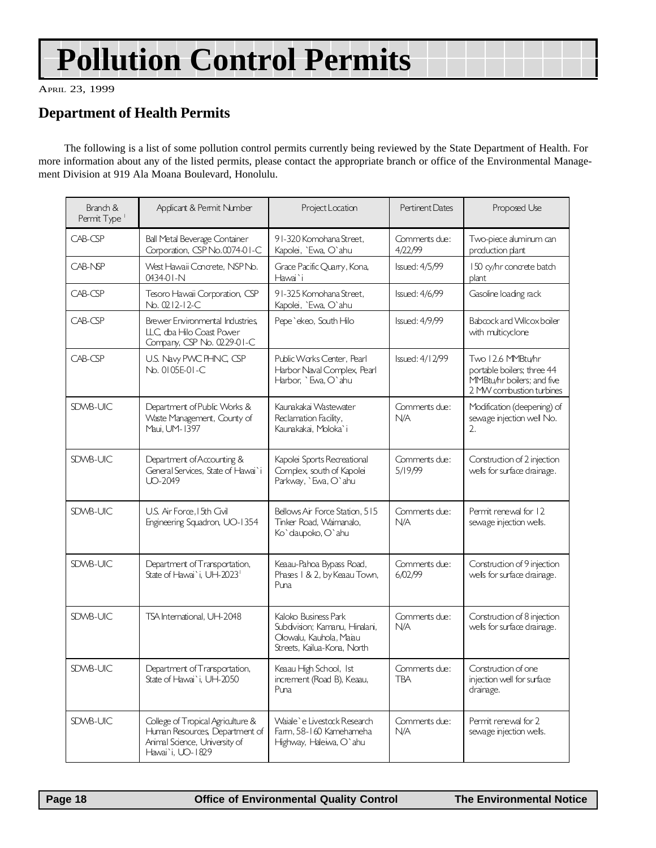# **Pollution Control Permits**

APRIL 23, 1999

### **Department of Health Permits**

The following is a list of some pollution control permits currently being reviewed by the State Department of Health. For more information about any of the listed permits, please contact the appropriate branch or office of the Environmental Management Division at 919 Ala Moana Boulevard, Honolulu.

| Branch &<br>Permit Type <sup>1</sup> | Applicant & Permit Number                                                                                                | Project Location                                                                                                 | <b>Pertinent Dates</b>   | Proposed Use                                                                                              |
|--------------------------------------|--------------------------------------------------------------------------------------------------------------------------|------------------------------------------------------------------------------------------------------------------|--------------------------|-----------------------------------------------------------------------------------------------------------|
| CAB-CSP                              | Ball Metal Beverage Container<br>Corporation, CSP No.0074-01-C                                                           | 91-320 Komohana Street.<br>Kapolei, `Ewa, O`ahu                                                                  | Comments due:<br>4/22/99 | Two-piece aluminum can<br>production plant                                                                |
| CAB-NSP                              | West Hawaii Concrete, NSP No.<br>0434-01-N                                                                               | Grace Pacific Quarry, Kona,<br>Hawai`i                                                                           | Issued: 4/5/99           | 150 cy/hr concrete batch<br>plant                                                                         |
| CAB-CSP                              | Tesoro Hawaii Corporation, CSP<br>No. 0212-12-C                                                                          | 91-325 Komohana Street.<br>Kapolei, `Ewa, O`ahu                                                                  | <b>Issued: 4/6/99</b>    | Gasoline loading rack                                                                                     |
| CAB-CSP                              | Brewer Environmental Industries,<br>LLC, dba Hilo Coast Power<br>Company, CSP No. 0229-01-C                              | Pepe 'ekeo, South Hilo                                                                                           | Issued: 4/9/99           | Babcock and Wilcox boiler<br>with multicyclone                                                            |
| CAB-CSP                              | U.S. Navy PWC PHNC, CSP<br>No. 0105E-01-C                                                                                | Public Warks Center, Pearl<br>Harbor Naval Complex, Pearl<br>Harbor, `Ewa, O`ahu                                 | Issued: 4/12/99          | Two 12.6 MMBtu/hr<br>portable boilers; three 44<br>MMBtu/hr boilers; and five<br>2 MW combustion turbines |
| SDWB-UIC                             | Department of Public Works &<br>Waste Management, County of<br>Maui, UM-1397                                             | Kaunakakai Wastewater<br>Reclamation Facility,<br>Kaunakakai, Moloka'i                                           | Comments due:<br>N/A     | Modification (deepening) of<br>sewage injection wel No.<br>2.                                             |
| SDWB-UIC                             | Department of Accounting &<br>General Services, State of Hawai`i<br>LO-2049                                              | Kapolei Sports Recreational<br>Complex, south of Kapolei<br>Parkway, `Ewa, O`ahu                                 | Comments due:<br>5/19/99 | Construction of 2 injection<br>wels for surface drainage.                                                 |
| SDWB-UIC                             | U.S. Air Force, I 5th Civil<br>Engineering Squadron, UO-1354                                                             | Bellows Air Force Station, 515<br>Tinker Road, Waimanalo,<br>Ko'daupoko, O'ahu                                   | Comments due:<br>N/A     | Permit renewal for 12<br>sewage injection wels.                                                           |
| SDWB-UIC                             | Department of Transportation,<br>State of Hawai`i, UH-2023                                                               | Keaau-Pahoa Bypass Road,<br>Phases   & 2, by Keaau Town,<br>Puna                                                 | Comments due:<br>6/02/99 | Construction of 9 injection<br>wels for surface drainage.                                                 |
| SDWB-UIC                             | TSA International, UH-2048                                                                                               | Kaloko Business Park<br>Subdivision; Kamanu, Hinalani,<br>Olowalu, Kauhola, Maiau<br>Streets, Kailua-Kona, North | Comments due:<br>N/A     | Construction of 8 injection<br>wels for surface drainage.                                                 |
| SDWB-UIC                             | Department of Transportation,<br>State of Hawai`i, UH-2050                                                               | Keaau High School, Ist<br>increment (Road B), Keaau,<br>Puna                                                     | Comments due:<br>TBA     | Construction of one<br>injection well for surface<br>dranage.                                             |
| SDWB-UIC                             | College of Tropical Agriculture &<br>Human Resources, Department of<br>Animal Science, University of<br>Hawai`i, UO-1829 | Waiale' e Livestock Research<br>Farm, 58-160 Kamehameha<br>Highway, Haleiwa, O'ahu                               | Comments due:<br>N/A     | Permit renewal for 2<br>sewage injection wels.                                                            |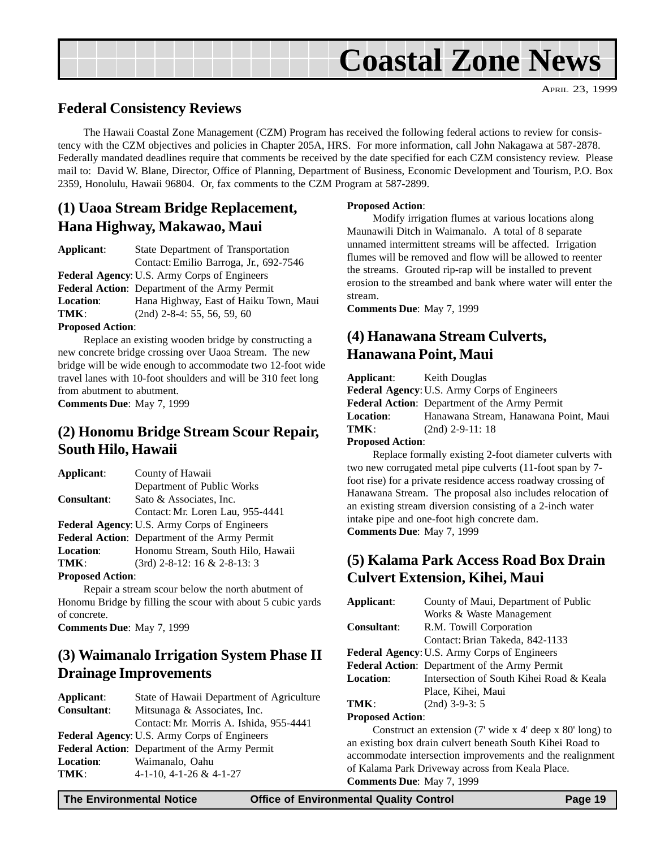# **Coastal Zone News**

APRIL 23, 1999

### <span id="page-18-0"></span>**Federal Consistency Reviews**

The Hawaii Coastal Zone Management (CZM) Program has received the following federal actions to review for consistency with the CZM objectives and policies in Chapter 205A, HRS. For more information, call John Nakagawa at 587-2878. Federally mandated deadlines require that comments be received by the date specified for each CZM consistency review. Please mail to: David W. Blane, Director, Office of Planning, Department of Business, Economic Development and Tourism, P.O. Box 2359, Honolulu, Hawaii 96804. Or, fax comments to the CZM Program at 587-2899.

### **(1) Uaoa Stream Bridge Replacement, Hana Highway, Makawao, Maui**

| State Department of Transportation                  |  |
|-----------------------------------------------------|--|
| Contact: Emilio Barroga, Jr., 692-7546              |  |
| <b>Federal Agency: U.S. Army Corps of Engineers</b> |  |
| Federal Action: Department of the Army Permit       |  |
| Hana Highway, East of Haiku Town, Maui              |  |
| $(2nd)$ 2-8-4: 55, 56, 59, 60                       |  |
|                                                     |  |

#### **Proposed Action**:

Replace an existing wooden bridge by constructing a new concrete bridge crossing over Uaoa Stream. The new bridge will be wide enough to accommodate two 12-foot wide travel lanes with 10-foot shoulders and will be 310 feet long from abutment to abutment. **Comments Due**: May 7, 1999

### **(2) Honomu Bridge Stream Scour Repair, South Hilo, Hawaii**

| Applicant:              | County of Hawaii                              |
|-------------------------|-----------------------------------------------|
|                         | Department of Public Works                    |
| <b>Consultant:</b>      | Sato & Associates, Inc.                       |
|                         | Contact: Mr. Loren Lau, 955-4441              |
|                         | Federal Agency: U.S. Army Corps of Engineers  |
|                         | Federal Action: Department of the Army Permit |
| <b>Location:</b>        | Honomu Stream, South Hilo, Hawaii             |
| TMK:                    | $(3rd)$ 2-8-12: 16 & 2-8-13: 3                |
| <b>Proposed Action:</b> |                                               |

Repair a stream scour below the north abutment of Honomu Bridge by filling the scour with about 5 cubic yards of concrete.

**Comments Due**: May 7, 1999

### **(3) Waimanalo Irrigation System Phase II Drainage Improvements**

| Mitsunaga & Associates, Inc.            |  |
|-----------------------------------------|--|
| Contact: Mr. Morris A. Ishida, 955-4441 |  |
|                                         |  |
|                                         |  |
|                                         |  |
|                                         |  |
|                                         |  |

#### **Proposed Action**:

Modify irrigation flumes at various locations along Maunawili Ditch in Waimanalo. A total of 8 separate unnamed intermittent streams will be affected. Irrigation flumes will be removed and flow will be allowed to reenter the streams. Grouted rip-rap will be installed to prevent erosion to the streambed and bank where water will enter the stream.

**Comments Due**: May 7, 1999

### **(4) Hanawana Stream Culverts, Hanawana Point, Maui**

**Applicant:** Keith Douglas **Federal Agency**:U.S. Army Corps of Engineers **Federal Action**: Department of the Army Permit **Location**: Hanawana Stream, Hanawana Point, Maui **TMK**: (2nd) 2-9-11: 18

#### **Proposed Action**:

Replace formally existing 2-foot diameter culverts with two new corrugated metal pipe culverts (11-foot span by 7 foot rise) for a private residence access roadway crossing of Hanawana Stream. The proposal also includes relocation of an existing stream diversion consisting of a 2-inch water intake pipe and one-foot high concrete dam. **Comments Due**: May 7, 1999

### **(5) Kalama Park Access Road Box Drain Culvert Extension, Kihei, Maui**

| Applicant:              | County of Maui, Department of Public          |  |
|-------------------------|-----------------------------------------------|--|
|                         | Works & Waste Management                      |  |
| <b>Consultant:</b>      | R.M. Towill Corporation                       |  |
|                         | Contact: Brian Takeda, 842-1133               |  |
|                         | Federal Agency: U.S. Army Corps of Engineers  |  |
|                         | Federal Action: Department of the Army Permit |  |
| <b>Location:</b>        | Intersection of South Kihei Road & Keala      |  |
|                         | Place, Kihei, Maui                            |  |
| TMK:                    | $(2nd)$ 3-9-3: 5                              |  |
| <b>Proposed Action:</b> |                                               |  |

Construct an extension (7' wide x 4' deep x 80' long) to an existing box drain culvert beneath South Kihei Road to accommodate intersection improvements and the realignment of Kalama Park Driveway across from Keala Place. **Comments Due**: May 7, 1999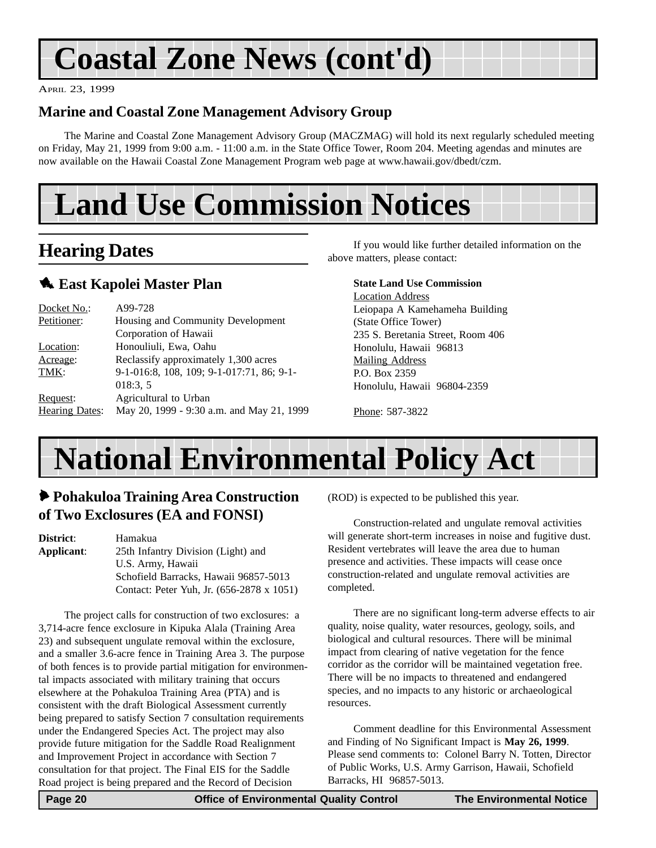# <span id="page-19-0"></span>**Coastal Zone News (cont'd)**

APRIL 23, 1999

### **Marine and Coastal Zone Management Advisory Group**

The Marine and Coastal Zone Management Advisory Group (MACZMAG) will hold its next regularly scheduled meeting on Friday, May 21, 1999 from 9:00 a.m. - 11:00 a.m. in the State Office Tower, Room 204. Meeting agendas and minutes are now available on the Hawaii Coastal Zone Management Program web page at www.hawaii.gov/dbedt/czm.

# **Land Use Commission Notices**

# **Hearing Dates**

### **1. East Kapolei Master Plan**

| Docket No.:    | A99-728                                   |
|----------------|-------------------------------------------|
| Petitioner:    | Housing and Community Development         |
|                | Corporation of Hawaii                     |
| Location:      | Honouliuli, Ewa, Oahu                     |
| Acreage:       | Reclassify approximately 1,300 acres      |
| TMK:           | 9-1-016:8, 108, 109; 9-1-017:71, 86; 9-1- |
|                | 018:3, 5                                  |
| Request:       | Agricultural to Urban                     |
| Hearing Dates: | May 20, 1999 - 9:30 a.m. and May 21, 1999 |
|                |                                           |

If you would like further detailed information on the above matters, please contact:

### **State Land Use Commission**

Location Address Leiopapa A Kamehameha Building (State Office Tower) 235 S. Beretania Street, Room 406 Honolulu, Hawaii 96813 Mailing Address P.O. Box 2359 Honolulu, Hawaii 96804-2359

Phone: 587-3822

# **National Environmental Policy Act**

## 6 **Pohakuloa Training Area Construction of Two Exclosures (EA and FONSI)**

**District**: Hamakua **Applicant**: 25th Infantry Division (Light) and U.S. Army, Hawaii Schofield Barracks, Hawaii 96857-5013 Contact: Peter Yuh, Jr. (656-2878 x 1051)

The project calls for construction of two exclosures: a 3,714-acre fence exclosure in Kipuka Alala (Training Area 23) and subsequent ungulate removal within the exclosure, and a smaller 3.6-acre fence in Training Area 3. The purpose of both fences is to provide partial mitigation for environmental impacts associated with military training that occurs elsewhere at the Pohakuloa Training Area (PTA) and is consistent with the draft Biological Assessment currently being prepared to satisfy Section 7 consultation requirements under the Endangered Species Act. The project may also provide future mitigation for the Saddle Road Realignment and Improvement Project in accordance with Section 7 consultation for that project. The Final EIS for the Saddle Road project is being prepared and the Record of Decision

(ROD) is expected to be published this year.

Construction-related and ungulate removal activities will generate short-term increases in noise and fugitive dust. Resident vertebrates will leave the area due to human presence and activities. These impacts will cease once construction-related and ungulate removal activities are completed.

There are no significant long-term adverse effects to air quality, noise quality, water resources, geology, soils, and biological and cultural resources. There will be minimal impact from clearing of native vegetation for the fence corridor as the corridor will be maintained vegetation free. There will be no impacts to threatened and endangered species, and no impacts to any historic or archaeological resources.

Comment deadline for this Environmental Assessment and Finding of No Significant Impact is **May 26, 1999**. Please send comments to: Colonel Barry N. Totten, Director of Public Works, U.S. Army Garrison, Hawaii, Schofield Barracks, HI 96857-5013.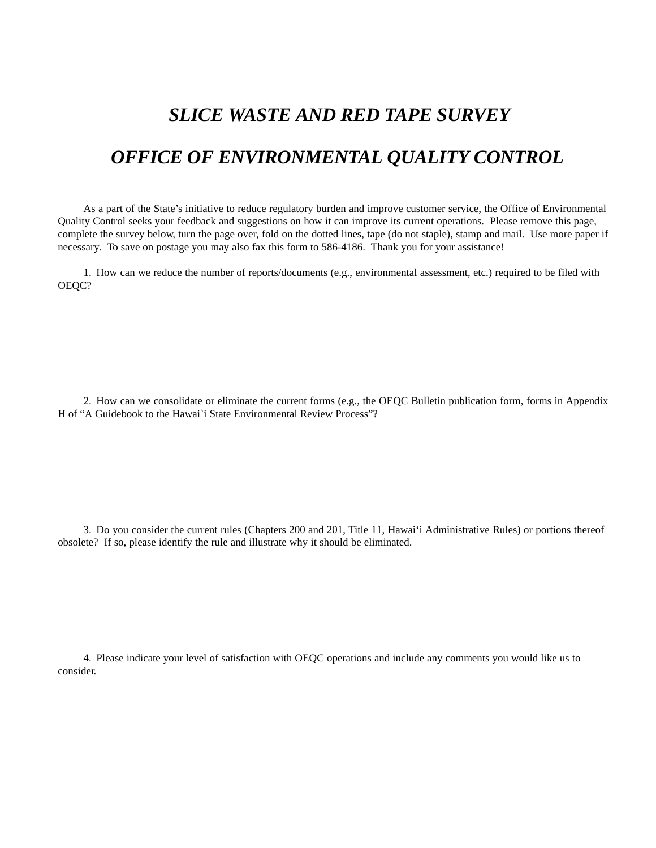## *SLICE WASTE AND RED TAPE SURVEY*

## *OFFICE OF ENVIRONMENTAL QUALITY CONTROL*

As a part of the State's initiative to reduce regulatory burden and improve customer service, the Office of Environmental Quality Control seeks your feedback and suggestions on how it can improve its current operations. Please remove this page, complete the survey below, turn the page over, fold on the dotted lines, tape (do not staple), stamp and mail. Use more paper if necessary. To save on postage you may also fax this form to 586-4186. Thank you for your assistance!

1. How can we reduce the number of reports/documents (e.g., environmental assessment, etc.) required to be filed with OEQC?

2. How can we consolidate or eliminate the current forms (e.g., the OEQC Bulletin publication form, forms in Appendix H of "A Guidebook to the Hawai`i State Environmental Review Process"?

3. Do you consider the current rules (Chapters 200 and 201, Title 11, Hawai'i Administrative Rules) or portions thereof obsolete? If so, please identify the rule and illustrate why it should be eliminated.

4. Please indicate your level of satisfaction with OEQC operations and include any comments you would like us to consider.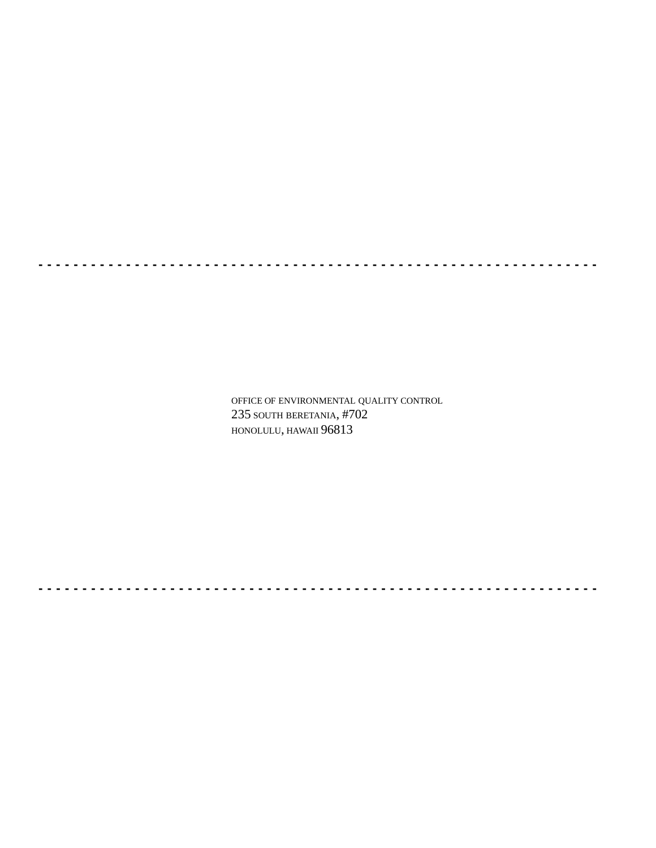**- - - - - - - - - - - - - - - - - - - - - - - - - - - - - - - - - - - - - - - - - - - - - - - - - - - - - - - - - - - - - - - -**

OFFICE OF ENVIRONMENTAL QUALITY CONTROL 235 SOUTH BERETANIA, #702 HONOLULU, HAWAII 96813

**- - - - - - - - - - - - - - - - - - - - - - - - - - - - - - - - - - - - - - - - - - - - - - - - - - - - - - - - - - - - - - - -**